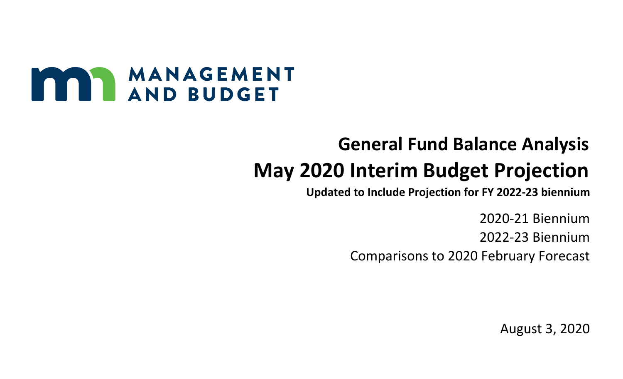

## **General Fund Balance Analysis May 2020 Interim Budget Projection**

**Updated to Include Projection for FY 2022-23 biennium**

2020-21 Biennium 2022-23 Biennium Comparisons to 2020 February Forecast

August 3, 2020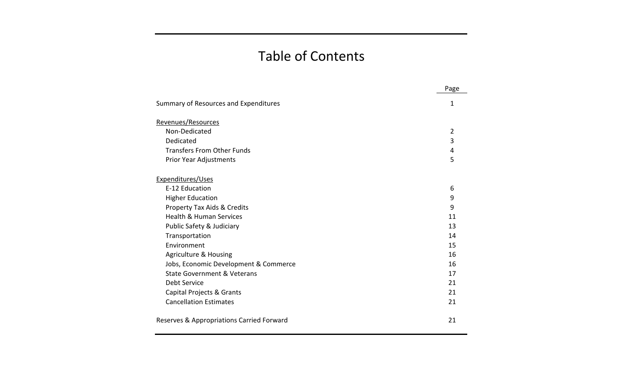## Table of Contents

|                                           | Page           |
|-------------------------------------------|----------------|
| Summary of Resources and Expenditures     | 1              |
| Revenues/Resources                        |                |
| Non-Dedicated                             | $\overline{2}$ |
| Dedicated                                 | 3              |
| <b>Transfers From Other Funds</b>         | 4              |
| Prior Year Adjustments                    | 5              |
| Expenditures/Uses                         |                |
| E-12 Education                            | 6              |
| <b>Higher Education</b>                   | 9              |
| <b>Property Tax Aids &amp; Credits</b>    | 9              |
| <b>Health &amp; Human Services</b>        | 11             |
| Public Safety & Judiciary                 | 13             |
| Transportation                            | 14             |
| Environment                               | 15             |
| <b>Agriculture &amp; Housing</b>          | 16             |
| Jobs, Economic Development & Commerce     | 16             |
| State Government & Veterans               | 17             |
| Debt Service                              | 21             |
| <b>Capital Projects &amp; Grants</b>      | 21             |
| <b>Cancellation Estimates</b>             | 21             |
| Reserves & Appropriations Carried Forward | 21             |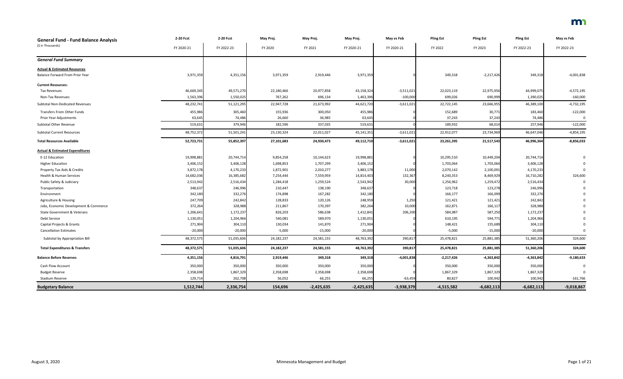| <b>General Fund - Fund Balance Analysis</b> | 2-20 Fcst  | 2-20 Fcst  | May Proj.  | May Proj.    | May Proj.    | May vs Feb   | <b>Pling Est</b> | <b>Pling Est</b> | <b>Pling Est</b> | May vs Feb   |
|---------------------------------------------|------------|------------|------------|--------------|--------------|--------------|------------------|------------------|------------------|--------------|
| (\$ in Thousands)                           | FY 2020-21 | FY 2022-23 | FY 2020    | FY 2021      | FY 2020-21   | FY 2020-21   | FY 2022          | FY 2023          | FY 2022-23       | FY 2022-23   |
| <b>General Fund Summary</b>                 |            |            |            |              |              |              |                  |                  |                  |              |
| <b>Actual &amp; Estimated Resources</b>     |            |            |            |              |              |              |                  |                  |                  |              |
| Balance Forward From Prior Year             | 3,971,359  | 4,351,156  | 3,971,359  | 2,919,446    | 3,971,359    |              | 349,318          | $-2,217,426$     | 349,318          | $-4,001,838$ |
| <b>Current Resources:</b>                   |            |            |            |              |              |              |                  |                  |                  |              |
| <b>Tax Revenues</b>                         | 46,669,345 | 49,571,270 | 22,180,466 | 20,977,858   | 43,158,324   | $-3,511,021$ | 22,023,119       | 22,975,956       | 44,999,075       | $-4,572,195$ |
| Non-Tax Revenues                            | 1,563,396  | 1,550,025  | 767,262    | 696,134      | 1,463,396    | $-100,000$   | 699,026          | 690,999          | 1,390,025        | $-160,000$   |
| <b>Subtotal Non-Dedicated Revenues</b>      | 48,232,74  | 51,121,295 | 22,947,728 | 21,673,992   | 44,621,720   | $-3,611,021$ | 22,722,145       | 23,666,955       | 46,389,100       | $-4,732,195$ |
| <b>Transfers From Other Funds</b>           | 455,986    | 305,460    | 155,936    | 300,050      | 455,986      |              | 152,689          | 30,771           | 183,460          | $-122,000$   |
| Prior Year Adjustments                      | 63,645     | 74,486     | 26,660     | 36,985       | 63,645       |              | 37,243           | 37,243           | 74,486           | $\Omega$     |
| Subtotal Other Revenue                      | 519,631    | 379,946    | 182,596    | 337,035      | 519,631      |              | 189,932          | 68,014           | 257,946          | $-122,000$   |
| <b>Subtotal Current Resources</b>           | 48,752,372 | 51,501,241 | 23,130,324 | 22,011,027   | 45,141,351   | $-3,611,021$ | 22,912,077       | 23,734,969       | 46,647,046       | $-4,854,195$ |
| <b>Total Resources Available</b>            | 52,723,731 | 55,852,397 | 27,101,683 | 24,930,473   | 49,112,710   | $-3,611,021$ | 23,261,395       | 21,517,543       | 46,996,364       | $-8,856,033$ |
| <b>Actual &amp; Estimated Expenditures</b>  |            |            |            |              |              |              |                  |                  |                  |              |
| E-12 Education                              | 19,998,881 | 20,744,714 | 9,854,258  | 10,144,623   | 19,998,881   |              | 10,295,510       | 10,449,204       | 20,744,714       |              |
| <b>Higher Education</b>                     | 3,406,152  | 3,406,128  | 1,698,853  | 1,707,299    | 3,406,152    |              | 1,703,064        | 1,703,064        | 3,406,128        |              |
| Property Tax Aids & Credits                 | 3,872,178  | 4,170,233  | 1,872,901  | 2,010,277    | 3,883,178    | 11,000       | 2,070,142        | 2,100,091        | 4,170,233        |              |
| Health & Human Services                     | 14,682,036 | 16,385,682 | 7,254,444  | 7,559,959    | 14,814,403   | 132,367      | 8,240,353        | 8,469,929        | 16,710,282       | 324,600      |
| Public Safety & Judiciary                   | 2,513,942  | 2,516,434  | 1,284,418  | 1,259,524    | 2,543,942    | 30,000       | 1,256,962        | 1,259,472        | 2,516,434        |              |
| Transportation                              | 348,637    | 246,996    | 210,447    | 138,190      | 348,637      |              | 123,718          | 123,278          | 246,996          |              |
| Environment                                 | 342,180    | 332,276    | 174,898    | 167,282      | 342,180      |              | 166,177          | 166,099          | 332,276          |              |
| Agriculture & Housing                       | 247,709    | 242,842    | 128,833    | 120,126      | 248,959      | 1,250        | 121,421          | 121,421          | 242,842          |              |
| Jobs, Economic Development & Commerce       | 372,264    | 328,988    | 211,867    | 170,397      | 382,264      | 10,000       | 162,871          | 166,117          | 328,988          |              |
| State Government & Veterans                 | 1,206,641  | 1,172,237  | 826,203    | 586,638      | 1,412,841    | 206,200      | 584,987          | 587,250          | 1,172,237        |              |
| Debt Service                                | 1,130,051  | 1,204,966  | 540,081    | 589,970      | 1,130,051    |              | 610,195          | 594,771          | 1,204,966        |              |
| Capital Projects & Grants                   | 271,904    | 304,110    | 130,034    | 141,870      | 271,904      |              | 148,421          | 155,689          | 304,110          |              |
| <b>Cancellation Estimates</b>               | $-20,000$  | $-20,000$  | $-5,000$   | $-15,000$    | $-20,000$    |              | $-5,000$         | $-15,000$        | $-20,000$        | $\Omega$     |
| Subtotal by Appropriation Bill              | 48,372,575 | 51,035,606 | 24,182,237 | 24,581,155   | 48,763,392   | 390,817      | 25,478,821       | 25,881,385       | 51,360,206       | 324,600      |
| <b>Total Expenditures &amp; Transfers</b>   | 48,372,575 | 51,035,606 | 24,182,237 | 24,581,155   | 48,763,392   | 390,817      | 25,478,821       | 25,881,385       | 51,360,206       | 324,600      |
| <b>Balance Before Reserves</b>              | 4,351,156  | 4,816,791  | 2,919,446  | 349,318      | 349,318      | $-4,001,838$ | $-2,217,426$     | $-4,363,842$     | $-4,363,842$     | $-9,180,633$ |
| Cash Flow Account                           | 350,000    | 350,000    | 350,000    | 350,000      | 350,000      |              | 350,000          | 350,000          | 350,000          |              |
| <b>Budget Reserve</b>                       | 2,358,698  | 1,867,329  | 2,358,698  | 2,358,698    | 2,358,698    |              | 1,867,329        | 1,867,329        | 1,867,329        |              |
| Stadium Reserve                             | 129,714    | 262,708    | 56,052     | 66,255       | 66,255       | $-63,459$    | 80,827           | 100,942          | 100,942          | $-161,766$   |
| <b>Budgetary Balance</b>                    | 1,512,744  | 2,336,754  | 154,696    | $-2,425,635$ | $-2,425,635$ | $-3,938,379$ | $-4,515,582$     | $-6,682,113$     | $-6,682,113$     | $-9,018,867$ |

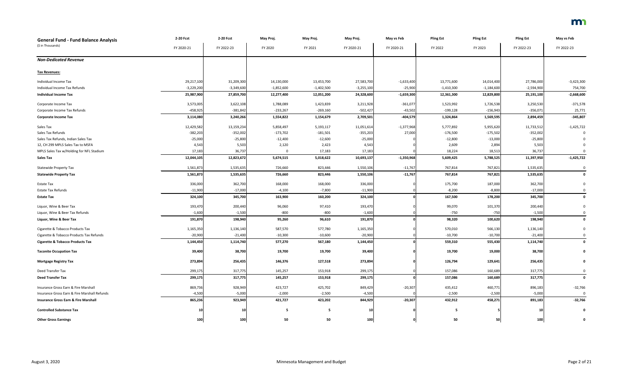| <b>General Fund - Fund Balance Analysis</b>     | 2-20 Fcst    | 2-20 Fcst    | May Proj.    | May Proj.    | May Proj.       | May vs Feb   | <b>Pling Est</b> | <b>Pling Est</b> | <b>Pling Est</b> | May vs Feb   |
|-------------------------------------------------|--------------|--------------|--------------|--------------|-----------------|--------------|------------------|------------------|------------------|--------------|
| (\$ in Thousands)                               | FY 2020-21   | FY 2022-23   | FY 2020      | FY 2021      | FY 2020-21      | FY 2020-21   | FY 2022          | FY 2023          | FY 2022-23       | FY 2022-23   |
|                                                 |              |              |              |              |                 |              |                  |                  |                  |              |
| <b>Non-Dedicated Revenue</b>                    |              |              |              |              |                 |              |                  |                  |                  |              |
| <b>Tax Revenues:</b>                            |              |              |              |              |                 |              |                  |                  |                  |              |
| Individual Income Tax                           | 29,217,100   | 31,209,300   | 14,130,000   | 13,453,700   | 27,583,700      | $-1,633,400$ | 13,771,600       | 14,014,400       | 27,786,000       | $-3,423,300$ |
| Individual Income Tax Refunds                   | $-3,229,200$ | $-3,349,600$ | $-1,852,600$ | $-1,402,500$ | $-3,255,100$    | $-25,900$    | $-1,410,300$     | $-1,184,600$     | $-2,594,900$     | 754,700      |
| <b>Individual Income Tax</b>                    | 25,987,900   | 27,859,700   | 12,277,400   | 12,051,200   | 24,328,600      | $-1,659,300$ | 12,361,300       | 12,829,800       | 25,191,100       | $-2,668,600$ |
| Corporate Income Tax                            | 3,573,005    | 3,622,108    | 1,788,089    | 1,423,839    | 3,211,928       | $-361,077$   | 1,523,992        | 1,726,538        | 3,250,530        | $-371,578$   |
| Corporate Income Tax Refunds                    | $-458,925$   | $-381,842$   | $-233,267$   | $-269,160$   | $-502,427$      | $-43,502$    | $-199,128$       | $-156,943$       | $-356,071$       | 25,771       |
| <b>Corporate Income Tax</b>                     | 3,114,080    | 3,240,266    | 1,554,822    | 1,154,679    | 2,709,501       | $-404,579$   | 1,324,864        | 1,569,595        | 2,894,459        | $-345,807$   |
| Sales Tax                                       | 12,429,582   | 13,159,234   | 5,858,497    | 5,193,117    | 11,051,614      | $-1,377,968$ | 5,777,892        | 5,955,620        | 11,733,512       | $-1,425,722$ |
| Sales Tax Refunds                               | $-382,203$   | $-352,002$   | $-173,702$   | $-181,501$   | $-355,203$      | 27,000       | $-176,500$       | $-175,502$       | $-352,002$       |              |
| Sales Tax Refunds, Indian Sales Tax             | $-25,000$    | $-25,800$    | $-12,400$    | $-12,600$    | $-25,000$       |              | $-12,800$        | $-13,000$        | $-25,800$        |              |
| 12, CH 299 MPLS Sales Tax to MSFA               | 4,543        | 5,503        | 2,120        | 2,423        | 4,543           |              | 2,609            | 2,894            | 5,503            |              |
| MPLS Sales Tax w/Holding for NFL Stadium        | 17,183       | 36,737       |              | 17,183       | 17,183          |              | 18,224           | 18,513           | 36,737           |              |
| <b>Sales Tax</b>                                | 12,044,105   | 12,823,672   | 5,674,515    | 5,018,622    | 10,693,137      | $-1,350,968$ | 5,609,425        | 5,788,525        | 11,397,950       | $-1,425,722$ |
| <b>Statewide Property Tax</b>                   | 1,561,873    | 1,535,635    | 726,660      | 823,446      | 1,550,106       | $-11,767$    | 767,814          | 767,821          | 1,535,635        | $\Omega$     |
| <b>Statewide Property Tax</b>                   | 1,561,873    | 1,535,635    | 726,660      | 823,446      | 1,550,106       | $-11,767$    | 767,814          | 767,821          | 1,535,635        | 0            |
| <b>Estate Tax</b>                               | 336,000      | 362,700      | 168,000      | 168,000      | 336,000         |              | 175,700          | 187,000          | 362,700          |              |
| <b>Estate Tax Refunds</b>                       | $-11,900$    | $-17,000$    | $-4,100$     | $-7,800$     | $-11,900$       |              | $-8,200$         | $-8,800$         | $-17,000$        |              |
| <b>Estate Tax</b>                               | 324,100      | 345,700      | 163,900      | 160,200      | 324,100         |              | 167,500          | 178,200          | 345,700          |              |
| Liquor, Wine & Beer Tax                         | 193,470      | 200,440      | 96,060       | 97,410       | 193,470         |              | 99,070           | 101,370          | 200,440          |              |
| Liquor, Wine & Beer Tax Refunds                 | $-1,600$     | $-1,500$     | $-800$       | $-800$       | $-1,600$        |              | $-750$           | $-750$           | $-1,500$         |              |
| Liquor, Wine & Beer Tax                         | 191,870      | 198,940      | 95,260       | 96,610       | 191,870         |              | 98,320           | 100,620          | 198,940          | 0            |
| Cigarette & Tobacco Products Tax                | 1,165,350    | 1,136,140    | 587,570      | 577,780      | 1,165,350       |              | 570,010          | 566,130          | 1,136,140        |              |
| Cigarette & Tobacco Products Tax Refunds        | $-20,900$    | $-21,400$    | $-10,300$    | $-10,600$    | $-20,900$       |              | $-10,700$        | $-10,700$        | $-21,400$        |              |
| <b>Cigarette &amp; Tobacco Products Tax</b>     | 1,144,450    | 1,114,740    | 577,270      | 567,180      | 1,144,450       |              | 559,310          | 555,430          | 1,114,740        | 0            |
| <b>Taconite Occupation Tax</b>                  | 39,400       | 38,700       | 19,700       | 19,700       | 39,400          |              | 19,700           | 19,000           | 38,700           |              |
| <b>Mortgage Registry Tax</b>                    | 273,894      | 256,435      | 146,376      | 127,518      | 273,894         |              | 126,794          | 129,641          | 256,435          |              |
| Deed Transfer Tax                               | 299,175      | 317,775      | 145,257      | 153,918      | 299,175         |              | 157,086          | 160,689          | 317,775          |              |
| <b>Deed Transfer Tax</b>                        | 299,175      | 317,775      | 145,257      | 153,918      | 299,175         |              | 157,086          | 160,689          | 317,775          | $\mathbf 0$  |
| Insurance Gross Earn & Fire Marshall            | 869,736      | 928,949      | 423,727      | 425,702      | 849,429         | $-20,307$    | 435,412          | 460,771          | 896,183          | $-32,766$    |
| Insurance Gross Earn & Fire Marshall Refunds    | $-4,500$     | $-5,000$     | $-2,000$     | $-2,500$     | $-4,500$        |              | $-2,500$         | $-2,500$         | $-5,000$         | $\mathbf{0}$ |
| <b>Insurance Gross Earn &amp; Fire Marshall</b> | 865,236      | 923,949      | 421,727      | 423,202      | 844,929         | $-20,307$    | 432,912          | 458,271          | 891,183          | $-32,766$    |
| <b>Controlled Substance Tax</b>                 | 10           | 10           | -5           | 5            | 10 <sup>1</sup> |              | - 5              |                  | 10               |              |
| <b>Other Gross Earnings</b>                     | 100          | 100          | 50           | 50           | 100             |              | 50               | 50               | 100              |              |

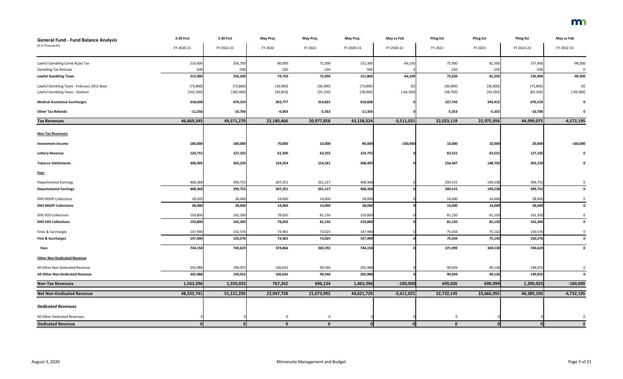| <b>General Fund - Fund Balance Analysis</b> | 2-20 Fcst  | 2-20 Fcst  | May Proj.   | May Proj.   | May Proj.  | May vs Feb   | <b>Pling Est</b> | <b>Pling Est</b> | <b>Pling Est</b> | May vs Feb   |
|---------------------------------------------|------------|------------|-------------|-------------|------------|--------------|------------------|------------------|------------------|--------------|
| (\$ in Thousands)                           | FY 2020-21 | FY 2022-23 | FY 2020     | FY 2021     | FY 2020-21 | FY 2020-21   | FY 2022          | FY 2023          | FY 2022-23       | FY 2022-23   |
| Lawful Gambling Comb Rcpts Tax              | 216,400    | 256,700    | 80,000      | 72,300      | 152,300    | $-64,100$    | 75,900           | 81,500           | 157,400          | $-99,300$    |
| <b>Gambling Tax Refunds</b>                 | $-500$     | $-500$     | $-250$      | $-250$      | $-500$     |              | $-250$           | $-250$           | $-500$           | 0            |
| <b>Lawful Gambling Taxes</b>                | 215,900    | 256,200    | 79,750      | 72,050      | 151,800    | $-64,100$    | 75,650           | 81,250           | 156,900          | $-99,300$    |
| Lawful Gambling Taxes - February 2012 Base  | [73,800]   | [73,800]   | [36,900]    | [36,900]    | [73, 800]  | [0]          | [36,900]         | [36,900]         | [73,800]         | [0]          |
| Lawful Gambling Taxes - Stadium             | [142, 100] | [182, 400] | [42, 850]   | [35, 150]   | [78,000]   | $[-64, 100]$ | [38, 750]        | [44, 350]        | [83, 100]        | $[-99, 300]$ |
| <b>Medical Assistance Surcharges</b>        | 618,608    | 670,154    | 303,777     | 314,831     | 618,608    |              | 327,742          | 342,412          | 670,154          | $\mathbf 0$  |
| <b>Other Tax Refunds</b>                    | $-11,356$  | $-10,706$  | $-6,003$    | $-5,353$    | $-11,356$  |              | $-5,353$         | $-5,353$         | $-10,706$        | 0            |
| <b>Tax Revenues</b>                         | 46,669,345 | 49,571,270 | 22,180,466  | 20,977,858  | 43,158,324 | $-3,511,021$ | 22,023,119       | 22,975,956       | 44,999,075       | $-4,572,195$ |
| <b>Non-Tax Revenues:</b>                    |            |            |             |             |            |              |                  |                  |                  |              |
| <b>Investment Income</b>                    | 180,000    | 180,000    | 70,000      | 10,000      | 80,000     | $-100,000$   | 10,000           | 10,000           | 20,000           | $-160,000$   |
| <b>Lottery Revenue</b>                      | 124,755    | 127,102    | 61,500      | 63,255      | 124,755    |              | 63,551           | 63,551           | 127,102          | 0            |
| <b>Tobacco Settlements</b>                  | 308,495    | 303,239    | 154,254     | 154,241     | 308,495    |              | 154,447          | 148,792          | 303,239          | $\mathbf 0$  |
| <b>Fees</b>                                 |            |            |             |             |            |              |                  |                  |                  |              |
| <b>Departmental Earnings</b>                | 408,368    | 399,753    | 207,251     | 201,117     | 408,368    |              | 200,515          | 199,238          | 399,753          | 0            |
| <b>Departmental Earnings</b>                | 408,368    | 399,753    | 207,251     | 201,117     | 408,368    |              | 200,515          | 199,238          | 399,753          | 0            |
| <b>DHS MSOP Collections</b>                 | 28,000     | 28,000     | 14,000      | 14,000      | 28,000     |              | 14,000           | 14,000           | 28,000           | $\mathbf 0$  |
| <b>DHS MSOP Collections</b>                 | 28,000     | 28,000     | 14,000      | 14,000      | 28,000     |              | 14,000           | 14,000           | 28,000           | $\mathbf 0$  |
| DHS SOS Collections                         | 159,800    | 162,300    | 78,650      | 81,150      | 159,800    |              | 81,150           | 81,150           | 162,300          | 0            |
| <b>DHS SOS Collections</b>                  | 159,800    | 162,300    | 78,650      | 81,150      | 159,800    |              | 81,150           | 81,150           | 162,300          | $\mathbf 0$  |
| Fines & Surcharges                          | 147,990    | 150,576    | 74,965      | 73,025      | 147,990    |              | 75,434           | 75,142           | 150,576          | $\mathbf 0$  |
| Fine & Surcharges                           | 147,990    | 150,576    | 74,965      | 73,025      | 147,990    |              | 75,434           | 75,142           | 150,576          | $\mathbf 0$  |
| Fees                                        | 744,158    | 740,629    | 374,866     | 369,292     | 744,158    |              | 371,099          | 369,530          | 740,629          | 0            |
| <b>Other Non-Dedicated Revenue</b>          |            |            |             |             |            |              |                  |                  |                  |              |
| All Other Non-Dedicated Revenue             | 205,988    | 199,055    | 106,642     | 99,346      | 205,988    |              | 99,929           | 99,126           | 199,055          | 0            |
| All Other Non-Dedicated Revenue             | 205,988    | 199,055    | 106,642     | 99,346      | 205,988    |              | 99,929           | 99,126           | 199,055          | $\mathbf 0$  |
| <b>Non-Tax Revenues</b>                     | 1,563,396  | 1,550,025  | 767,262     | 696,134     | 1,463,396  | $-100,000$   | 699,026          | 690,999          | 1,390,025        | $-160,000$   |
| <b>Net Non-Dedicated Revenue</b>            | 48,232,741 | 51,121,295 | 22,947,728  | 21,673,992  | 44,621,720 | $-3,611,021$ | 22,722,145       | 23,666,955       | 46,389,100       | $-4,732,195$ |
| <b>Dedicated Revenues</b>                   |            |            |             |             |            |              |                  |                  |                  |              |
| All Other Dedicated Revenues                |            |            | $\mathbf 0$ | $\mathsf 0$ |            |              | $\overline{0}$   |                  |                  | 0            |
| <b>Dedicated Revenue</b>                    | $\Omega$   | 0          | $\mathbf 0$ | $\mathbf 0$ | 0          | 0            | $\mathbf 0$      | 0                |                  | $\mathbf 0$  |

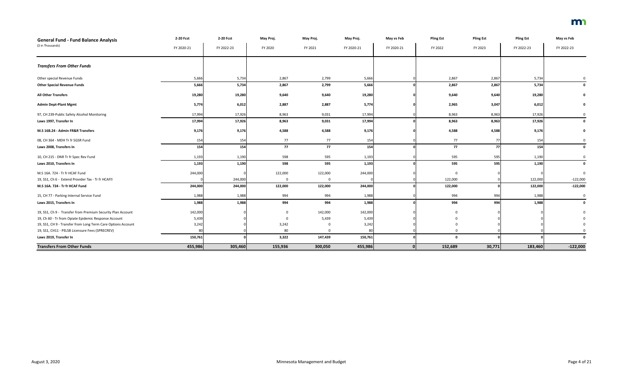| <b>General Fund - Fund Balance Analysis</b>                   | 2-20 Fcst  | 2-20 Fcst  | May Proj. | May Proj. | May Proj.  | May vs Feb | <b>Pling Est</b> | <b>Pling Est</b> | <b>Pling Est</b> | May vs Feb   |
|---------------------------------------------------------------|------------|------------|-----------|-----------|------------|------------|------------------|------------------|------------------|--------------|
| (\$ in Thousands)                                             | FY 2020-21 | FY 2022-23 | FY 2020   | FY 2021   | FY 2020-21 | FY 2020-21 | FY 2022          | FY 2023          | FY 2022-23       | FY 2022-23   |
| <b>Transfers From Other Funds</b>                             |            |            |           |           |            |            |                  |                  |                  |              |
| Other special Revenue Funds                                   | 5,666      | 5,734      | 2,867     | 2,799     | 5,666      |            | 2,867            | 2,867            | 5,734            |              |
| <b>Other Special Revenue Funds</b>                            | 5,666      | 5,734      | 2,867     | 2,799     | 5,666      |            | 2,867            | 2,867            | 5,734            | $\mathbf{0}$ |
| <b>All Other Transfers</b>                                    | 19,280     | 19,280     | 9,640     | 9,640     | 19,280     |            | 9,640            | 9,640            | 19,280           |              |
| <b>Admin Dept-Plant Mgmt</b>                                  | 5,774      | 6,012      | 2,887     | 2,887     | 5,774      |            | 2,965            | 3,047            | 6,012            |              |
| 97, CH 239-Public Safety Alcohol Monitoring                   | 17,994     | 17,926     | 8,963     | 9,031     | 17,994     |            | 8,963            | 8,963            | 17,926           |              |
| Laws 1997, Transfer In                                        | 17,994     | 17,926     | 8,963     | 9,031     | 17,994     |            | 8,963            | 8,963            | 17,926           |              |
| M.S 16B.24 - Admin FR&R Transfers                             | 9,176      | 9,176      | 4,588     | 4,588     | 9,176      |            | 4,588            | 4,588            | 9,176            | $\mathbf 0$  |
| 08, CH 364 - MDH Tr fr SGSR Fund                              | 154        | 154        | 77        | 77        | 154        |            | 77               | 77               | 154              |              |
| Laws 2008, Transfers In                                       | 154        | 154        | 77        | 77        | 154        |            | 77               | 77               | 154              |              |
| 10, CH 215 - DNR Tr fr Spec Rev Fund                          | 1,193      | 1,190      | 598       | 595       | 1,193      |            | 595              | 595              | 1,190            |              |
| Laws 2010, Transfers In                                       | 1,193      | 1,190      | 598       | 595       | 1,193      |            | 595              | 595              | 1,190            |              |
| M.S 16A. 724 - Tr fr HCAF Fund                                | 244,000    |            | 122,000   | 122,000   | 244,000    |            | $\Omega$         |                  |                  |              |
| 19, SS1, Ch 6 - Extend Provider Tax - Tr fr HCAF <sup>®</sup> |            | 244,000    | $\Omega$  | $\Omega$  |            |            | 122,000          |                  | 122,000          | $-122,000$   |
| M.S 16A. 724 - Tr fr HCAF Fund                                | 244,000    | 244,000    | 122,000   | 122,000   | 244,000    |            | 122,000          |                  | 122,000          | $-122,000$   |
| 15, CH 77 - Parking Internal Service Fund                     | 1,988      | 1,988      | 994       | 994       | 1,988      |            | 994              | 994              | 1,988            | 0            |
| Laws 2015, Transfers In                                       | 1,988      | 1,988      | 994       | 994       | 1,988      |            | 994              | 994              | 1,988            | $\mathbf{0}$ |
| 19, SS1, Ch 9 - Transfer from Premium Security Plan Account   | 142,000    |            | $\Omega$  | 142,000   | 142,000    |            |                  |                  |                  |              |
| 19, Ch 60 - Tr from Opiate Epidemic Response Account          | 5,439      |            | $\Omega$  | 5,439     | 5,439      |            |                  |                  |                  |              |
| 19, SS1, CH 9 - Transfer from Long Term Care Options Account  | 3,242      |            | 3,242     |           | 3,242      |            |                  |                  |                  |              |
| 19, SS1, CH11 - PELSB Licensure Fees (SPRECREV)               | 80         |            | 80        |           | -80        |            |                  |                  |                  |              |
| Laws 2019, Transfer In                                        | 150,761    |            | 3,322     | 147,439   | 150,761    |            | $\mathbf{0}$     |                  |                  |              |
| <b>Transfers From Other Funds</b>                             | 455,986    | 305,460    | 155,936   | 300,050   | 455,986    |            | 152,689          | 30,771           | 183,460          | $-122,000$   |

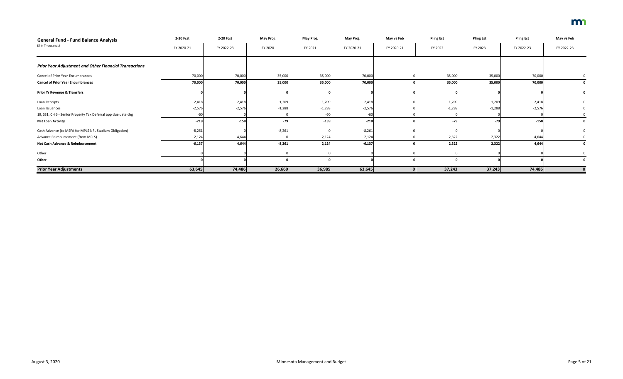| <b>General Fund - Fund Balance Analysis</b>                   | 2-20 Fcst  | 2-20 Fcst  | May Proj. | May Proj. | May Proj.  | May vs Feb | <b>Pling Est</b> | <b>Pling Est</b> | <b>Pling Est</b> | May vs Feb |
|---------------------------------------------------------------|------------|------------|-----------|-----------|------------|------------|------------------|------------------|------------------|------------|
| (\$ in Thousands)                                             | FY 2020-21 | FY 2022-23 | FY 2020   | FY 2021   | FY 2020-21 | FY 2020-21 | FY 2022          | FY 2023          | FY 2022-23       | FY 2022-23 |
| <b>Prior Year Adjustment and Other Financial Transactions</b> |            |            |           |           |            |            |                  |                  |                  |            |
| Cancel of Prior Year Encumbrances                             | 70,000     | 70,000     | 35,000    | 35,000    | 70,000     |            | 35,000           | 35,000           | 70,000           |            |
| <b>Cancel of Prior Year Encumbrances</b>                      | 70,000     | 70,000     | 35,000    | 35,000    | 70,000     |            | 35,000           | 35,000           | 70,000           |            |
| <b>Prior Yr Revenue &amp; Transfers</b>                       |            |            |           |           |            |            |                  |                  |                  |            |
| Loan Receipts                                                 | 2,418      | 2,418      | 1,209     | 1,209     | 2,418      |            | 1,209            | 1,209            | 2,418            |            |
| Loan Issuances                                                | $-2,576$   | $-2,576$   | $-1,288$  | $-1,288$  | $-2,576$   |            | $-1,288$         | $-1,288$         | $-2,576$         |            |
| 19, SS1, CH 6 - Senior Property Tax Deferral app due date chg | $-60$      |            |           | $-60$     |            |            |                  |                  |                  |            |
| <b>Net Loan Activity</b>                                      | $-218$     | $-158$     | $-79$     | $-139$    | $-218$     |            | $-79$            | $-79$            | $-158$           |            |
| Cash Advance (to MSFA for MPLS NFL Stadium Obligation)        | $-8,261$   |            | $-8,261$  |           | $-8,261$   |            |                  |                  |                  |            |
| Advance Reimbursement (from MPLS)                             | 2,124      | 4,644      |           | 2,124     | 2,124      |            | 2,322            | 2,322            | 4,644            |            |
| Net Cash Advance & Reimbursement                              | $-6,137$   | 4,644      | $-8,261$  | 2,124     | $-6,137$   |            | 2,322            | 2,322            | 4,644            |            |
| Other                                                         |            |            |           |           |            |            |                  |                  |                  |            |
| Other                                                         |            |            |           |           |            |            |                  |                  |                  |            |
| <b>Prior Year Adjustments</b>                                 | 63,645     | 74,486     | 26,660    | 36,985    | 63,645     |            | 37,243           | 37,243           | 74,486           |            |

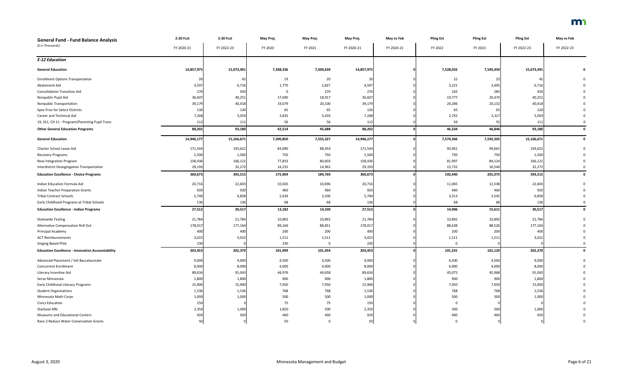| <b>General Fund - Fund Balance Analysis</b>             | 2-20 Fcst  | 2-20 Fcst  | May Proj. | May Proj.   | May Proj.  | May vs Feb | <b>Pling Est</b> | <b>Pling Est</b> | <b>Pling Est</b> | May vs Feb   |
|---------------------------------------------------------|------------|------------|-----------|-------------|------------|------------|------------------|------------------|------------------|--------------|
| (\$ in Thousands)                                       | FY 2020-21 | FY 2022-23 | FY 2020   | FY 2021     | FY 2020-21 | FY 2020-21 | FY 2022          | FY 2023          | FY 2022-23       | FY 2022-23   |
| <b>E-12 Education</b>                                   |            |            |           |             |            |            |                  |                  |                  |              |
| <b>General Education</b>                                | 14,857,975 | 15,073,491 | 7,348,336 | 7,509,639   | 14,857,975 |            | 7,528,032        | 7,545,459        | 15,073,491       | 0            |
| <b>Enrollment Options Transportation</b>                | 39         | -45        | 19        | 20          |            |            | 22               |                  | 45               |              |
| Abatement Aid                                           | 4,597      | 6,716      | 1,770     | 2,827       | 4,597      |            | 3,221            | 3,495            | 6,716            |              |
| <b>Consolidation Transition Aid</b>                     | 270        | 450        | $\Omega$  | 270         | 270        |            | 165              | 285              | 450              |              |
| Nonpublic Pupil Aid                                     | 36,607     | 40,251     | 17,690    | 18,917      | 36,607     |            | 19,777           | 20,474           | 40,251           |              |
| <b>Nonpublic Transportation</b>                         | 39,179     | 40,418     | 19,079    | 20,100      | 39,179     |            | 20,286           | 20,132           | 40,418           |              |
| Spec Prov for Select Districts                          | 130        | 130        | 65        | 65          | 130        |            | 65               |                  | 130              |              |
| Career and Technical Aid                                | 7,268      | 5,059      | 3,835     | 3,433       | 7,268      |            | 2,742            | 2,317            | 5,059            |              |
| 19, SS1, CH 11 - Pregnant/Parenting Pupil Trans         | 112        | 111        | 56        | 56          | 112        |            | 56               | 55               | 111              |              |
| <b>Other General Education Programs</b>                 | 88,202     | 93,180     | 42,514    | 45,688      | 88,202     |            | 46,334           | 46,846           | 93,180           | $\Omega$     |
| <b>General Education</b>                                | 14,946,177 | 15,166,671 | 7,390,850 | 7,555,327   | 14,946,177 |            | 7,574,366        | 7,592,305        | 15,166,671       | $\mathbf 0$  |
| Charter School Lease Aid                                | 171,544    | 193,622    | 83,090    | 88,454      | 171,544    |            | 93,961           | 99,661           | 193,622          |              |
| Recovery Programs                                       | 1,500      | 1,500      | 750       | 750         | 1,500      |            | 750              | 750              | 1,500            |              |
| New Integration Program                                 | 158,436    | 166,121    | 77,833    | 80,603      | 158,436    |            | 81,997           | 84,124           | 166,121          |              |
| Interdistrict Desegregation Transportation              | 29,193     | 32,272     | 14,231    | 14,962      | 29,193     |            | 15,732           | 16,540           | 32,272           |              |
| <b>Education Excellence - Choice Programs</b>           | 360,673    | 393,515    | 175,904   | 184,769     | 360,673    |            | 192,440          | 201,075          | 393,515          | $\mathbf 0$  |
| Indian Education Formula Aid                            | 20,716     | 22,603     | 10,020    | 10,696      | 20,716     |            | 11,065           | 11,538           | 22,603           |              |
| <b>Indian Teacher Preparation Grants</b>                | 920        | 920        | 460       | 460         | 920        |            | 460              | 460              | 920              |              |
| <b>Tribal Contract Schools</b>                          | 5,740      | 6,858      | 2,634     | 3,106       | 5,740      |            | 3,313            | 3,545            | 6,858            |              |
| Early Childhood Programs at Tribal Schools              | 136        | 136        | 68        | 68          | 136        |            | 68               | 68               | 136              |              |
| <b>Education Excellence - Indian Programs</b>           | 27,512     | 30,517     | 13,182    | 14,330      | 27,512     |            | 14,906           | 15,611           | 30,517           | $\mathbf{0}$ |
| <b>Statewide Testing</b>                                | 21,784     | 21,784     | 10,892    | 10,892      | 21,784     |            | 10,892           | 10,892           | 21,784           |              |
| Alternative Compensation Roll Out                       | 178,017    | 177,164    | 89,166    | 88,851      | 178,017    |            | 88,638           | 88,526           | 177,164          |              |
| Principal Academy                                       | 400        | 400        | 200       | 200         | 400        |            | 200              | 200              | 400              |              |
| <b>ACT Reimbursements</b>                               | 3,022      | 3,022      | 1,511     | 1,511       | 3,022      |            | 1,511            | 1,511            | 3,022            |              |
| Singing Based Pilot                                     | 230        |            | 230       | $\mathbf 0$ | 230        |            | 0                |                  |                  |              |
| <b>Education Excellence - Innovation Accountability</b> | 203,453    | 202,370    | 101,999   | 101,454     | 203,453    |            | 101,241          | 101,129          | 202,370          | $\Omega$     |
| Advanced Placement / Intl Baccalaureate                 | 9,000      | 9,000      | 4,500     | 4,500       | 9,000      |            | 4,500            | 4,500            | 9,000            |              |
| <b>Concurrent Enrollment</b>                            | 8,000      | 8,000      | 4,000     | 4,000       | 8,000      |            | 4,000            | 4,000            | 8,000            |              |
| Literacy Incentive Aid                                  | 89,634     | 91,043     | 44,976    | 44,658      | 89,634     |            | 45,075           | 45,968           | 91,043           |              |
| Serve Minnesota                                         | 1,800      | 1,800      | 900       | 900         | 1,800      |            | 900              | 900              | 1,800            |              |
| Early Childhood Literacy Programs                       | 15,900     | 15,900     | 7,950     | 7,950       | 15,900     |            | 7,950            | 7,950            | 15,900           |              |
| <b>Student Organizations</b>                            | 1,536      | 1,536      | 768       | 768         | 1,536      |            | 768              | 768              | 1,536            |              |
| Minnesota Math Corps                                    | 1,000      | 1,000      | 500       | 500         | 1,000      |            | 500              | 500              | 1,000            |              |
| <b>Civics Education</b>                                 | 150        |            | 75        | 75          | 150        |            | $\Omega$         |                  |                  |              |
| Starbase MN                                             | 2,350      | 1,000      | 1,850     | 500         | 2,350      |            | 500              | 500              | 1,000            |              |
| Museums and Educational Centers                         | 920        | 920        | 460       | 460         | 920        |            | 460              | 460              | 920              |              |
| Race 2 Reduce Water Conservation Grants                 | 50         |            | 50        | 0           | 50         |            | $\Omega$         |                  |                  |              |

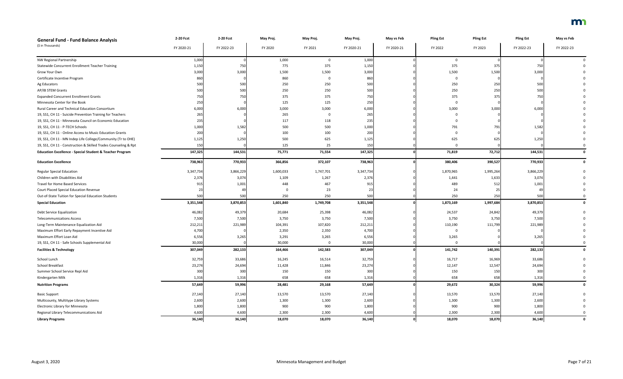| <b>General Fund - Fund Balance Analysis</b>                         | 2-20 Fcst  | 2-20 Fcst  | May Proj. | May Proj.   | May Proj.  | May vs Feb   | <b>Pling Est</b> | <b>Pling Est</b> | <b>Pling Est</b> | May vs Feb  |
|---------------------------------------------------------------------|------------|------------|-----------|-------------|------------|--------------|------------------|------------------|------------------|-------------|
| (\$ in Thousands)                                                   | FY 2020-21 | FY 2022-23 | FY 2020   | FY 2021     | FY 2020-21 | FY 2020-21   | FY 2022          | FY 2023          | FY 2022-23       | FY 2022-23  |
|                                                                     |            |            |           |             |            |              |                  |                  |                  |             |
| NW Regional Partnership                                             | 1,000      |            | 1,000     | $\mathbf 0$ | 1,000      |              | $\Omega$         |                  |                  |             |
| <b>Statewide Concurrent Enrollment Teacher Training</b>             | 1,150      | 750        | 775       | 375         | 1,150      |              | 375              | 375              | 750              |             |
| Grow Your Own                                                       | 3,000      | 3,000      | 1,500     | 1,500       | 3,000      |              | 1,500            | 1,500            | 3,000            |             |
| Certificate Incentive Program                                       | 860        |            | 860       |             | 860        |              | $\Omega$         |                  |                  |             |
| Ag Educators                                                        | 500        | 500        | 250       | 250         | 500        |              | 250              | 250              | 500              |             |
| AP/IB STEM Grants                                                   | 500        | 500        | 250       | 250         | 500        |              | 250              | 250              | 500              |             |
| <b>Expanded Concurrent Enrollment Grants</b>                        | 750        | 750        | 375       | 375         | 750        |              | 375              | 375              | 750              |             |
| Minnesota Center for the Book                                       | 250        |            | 125       | 125         | 250        |              | $\Omega$         |                  |                  |             |
| Rural Career and Technical Education Consortium                     | 6,000      | 6,000      | 3,000     | 3,000       | 6,000      |              | 3,000            | 3,000            | 6,000            |             |
| 19, SS1, CH 11 - Suicide Prevention Training for Teachers           | 265        |            | 265       |             | 265        |              |                  |                  |                  |             |
| 19, SS1, CH 11 - Minnesota Council on Economic Education            | 235        |            | 117       | 118         | 235        |              |                  |                  |                  |             |
| 19, SS1, CH 11 - P-TECH Schools                                     | 1,000      | 1,582      | 500       | 500         | 1,000      |              | 791              | 791              | 1,582            |             |
| 19, SS1, CH 11 - Online Access to Music Education Grants            | 200        |            | 100       | 100         | 200        |              |                  |                  |                  |             |
| 19, SS1, CH 11 - MN Indep Life College/Community (Tr to OHE)        | 1,125      | 1,250      | 500       | 625         | 1,125      |              | 625              | 625              | 1,250            |             |
| 19, SS1, CH 11 - Construction & Skilled Trades Counseling & Rpt     | 150        |            | 125       | 25          | 150        |              | $\Omega$         |                  |                  |             |
| <b>Education Excellence - Special Student &amp; Teacher Program</b> | 147,325    | 144,531    | 75,771    | 71,554      | 147,325    |              | 71,819           | 72,712           | 144,531          |             |
| <b>Education Excellence</b>                                         | 738,963    | 770,933    | 366,856   | 372,107     | 738,963    |              | 380,406          | 390,527          | 770,933          |             |
| <b>Regular Special Education</b>                                    | 3,347,734  | 3,866,229  | 1,600,033 | 1,747,701   | 3,347,734  |              | 1,870,965        | 1,995,264        | 3,866,229        |             |
| Children with Disabilities Aid                                      | 2,376      | 3,074      | 1,109     | 1,267       | 2,376      |              | 1,441            | 1,633            | 3,074            |             |
| Travel for Home Based Services                                      | 915        | 1,001      | 448       | 467         | 915        |              | 489              | 512              | 1,001            |             |
| <b>Court Placed Special Education Revenue</b>                       |            |            |           | 23          |            |              | 24               | -25              |                  |             |
| Out-of-State Tuition for Special Education Students                 | 500        | 500        | 250       | 250         | 500        |              | 250              | 250              | 500              |             |
| <b>Special Education</b>                                            | 3,351,548  | 3,870,853  | 1,601,840 | 1,749,708   | 3,351,548  |              | 1,873,169        | 1,997,684        | 3,870,853        |             |
| Debt Service Equalization                                           | 46,082     | 49,379     | 20,684    | 25,398      | 46,082     |              | 24,537           | 24,842           | 49,379           |             |
| <b>Telecommunications Access</b>                                    | 7,500      | 7,500      | 3,750     | 3,750       | 7,500      |              | 3,750            | 3,750            | 7,500            |             |
| Long-Term Maintenance Equalization Aid                              | 212,211    | 221,989    | 104,391   | 107,820     | 212,211    |              | 110,190          | 111,799          | 221,989          |             |
| Maximum Effort Early Repayment Incentive Aid                        | 4,700      |            | 2,350     | 2,350       | 4,700      |              | $\Omega$         |                  |                  |             |
| Maximum Effort Loan Aid                                             | 6,556      | 3,265      | 3,291     | 3,265       | 6,556      |              | 3,265            |                  | 3,265            |             |
| 19, SS1, CH 11 - Safe Schools Supplemental Aid                      | 30,000     |            | 30,000    | $\Omega$    | 30,000     |              | $\Omega$         |                  |                  |             |
| <b>Facilities &amp; Technology</b>                                  | 307,049    | 282,133    | 164,466   | 142,583     | 307,049    |              | 141,742          | 140,391          | 282,133          | $\mathbf 0$ |
| School Lunch                                                        | 32,759     | 33,686     | 16,245    | 16,514      | 32,759     |              | 16,717           | 16,969           | 33,686           |             |
| School Breakfast                                                    | 23,274     | 24,694     | 11,428    | 11,846      | 23,274     |              | 12,147           | 12,547           | 24,694           |             |
| Summer School Service Repl Aid                                      | 300        | 300        | 150       | 150         | 300        |              | 150              | 150              | 300              |             |
| Kindergarten Milk                                                   | 1,316      | 1,316      | 658       | 658         | 1,316      |              | 658              | 658              | 1,316            |             |
| <b>Nutrition Programs</b>                                           | 57,649     | 59,996     | 28,481    | 29,168      | 57,649     |              | 29,672           | 30,324           | 59,996           | 0           |
| <b>Basic Support</b>                                                | 27,140     | 27,140     | 13,570    | 13,570      | 27,140     |              | 13,570           | 13,570           | 27,140           |             |
| Multicounty, Multitype Library Systems                              | 2,600      | 2,600      | 1,300     | 1,300       | 2,600      |              | 1,300            | 1,300            | 2,600            |             |
| Electronic Library for Minnesota                                    | 1,800      | 1,800      | 900       | 900         | 1,800      |              | 900              | 900              | 1,800            |             |
| Regional Library Telecommunications Aid                             | 4,600      | 4,600      | 2,300     | 2,300       | 4,600      |              | 2,300            | 2,300            | 4,600            |             |
| <b>Library Programs</b>                                             | 36,140     | 36,140     | 18,070    | 18,070      | 36,140     | $\mathbf{0}$ | 18,070           | 18,070           | 36,140           | $\mathbf 0$ |

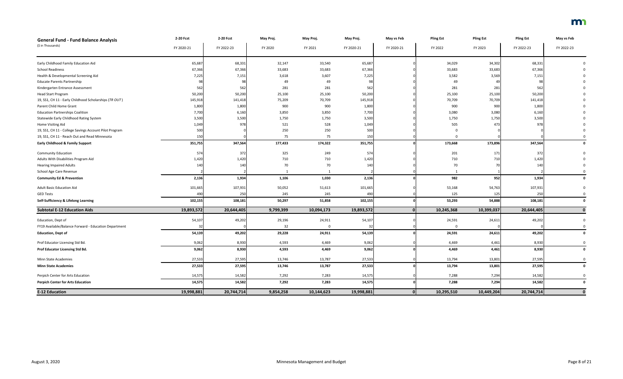| <b>General Fund - Fund Balance Analysis</b>            | 2-20 Fcst  | 2-20 Fcst  | May Proj. | May Proj.  | May Proj.  | May vs Feb | <b>Pling Est</b> | <b>Pling Est</b> | <b>Pling Est</b> | May vs Feb  |
|--------------------------------------------------------|------------|------------|-----------|------------|------------|------------|------------------|------------------|------------------|-------------|
| (\$ in Thousands)                                      | FY 2020-21 | FY 2022-23 | FY 2020   | FY 2021    | FY 2020-21 | FY 2020-21 | FY 2022          | FY 2023          | FY 2022-23       | FY 2022-23  |
| Early Childhood Family Education Aid                   | 65,687     | 68,331     | 32,147    | 33,540     | 65,687     |            | 34,029           | 34,302           | 68,331           |             |
| <b>School Readiness</b>                                | 67,366     | 67,366     | 33,683    | 33,683     | 67,366     |            | 33,683           | 33,683           | 67,366           |             |
| Health & Developmental Screening Aid                   | 7,225      | 7,151      | 3,618     | 3,607      | 7,225      |            | 3,582            | 3,569            | 7,151            |             |
| <b>Educate Parents Partnership</b>                     | 98         | 98         | 49        | 49         |            |            | 49               | 49               |                  |             |
| Kindergarten Entrance Assessment                       | 562        | 562        | 281       | 281        | 562        |            | 281              | 281              | 562              |             |
| <b>Head Start Program</b>                              | 50,200     | 50,200     | 25,100    | 25,100     | 50,200     |            | 25,100           | 25,100           | 50,200           |             |
| 19, SS1, CH 11 - Early Childhood Scholarships (TR OUT) | 145,918    | 141,418    | 75,209    | 70,709     | 145,918    |            | 70,709           | 70,709           | 141,418          |             |
| Parent Child Home Grant                                | 1,800      | 1,800      | 900       | 900        | 1,800      |            | 900              | 900              | 1,800            |             |
| <b>Education Partnerships Coalition</b>                | 7,700      | 6,160      | 3,850     | 3,850      | 7,700      |            | 3,080            | 3,080            | 6,160            |             |
| Statewide Early Childhood Rating System                | 3,500      | 3,500      | 1,750     | 1,750      | 3,500      |            | 1,750            | 1,750            | 3,500            |             |
| Home Visiting Aid                                      | 1,049      | 978        | 521       | 528        | 1,049      |            | 505              | 473              | 978              |             |
| 19, SS1, CH 11 - College Savings Account Pilot Program | 500        |            | 250       | 250        | 500        |            |                  |                  |                  |             |
| 19, SS1, CH 11 - Reach Out and Read Minnesota          | 150        |            | 75        | 75         | 150        |            | $\Omega$         |                  |                  |             |
| <b>Early Childhood &amp; Family Support</b>            | 351,755    | 347,564    | 177,433   | 174,322    | 351,755    |            | 173,668          | 173,896          | 347,564          |             |
| <b>Community Education</b>                             | 574        | 372        | 325       | 249        | 574        |            | 201              | 171              | 372              |             |
| Adults With Disabilities Program Aid                   | 1,420      | 1,420      | 710       | 710        | 1,420      |            | 710              | 710              | 1,420            |             |
| <b>Hearing Impaired Adults</b>                         | 140        | 140        | 70        | 70         | 140        |            | 70               |                  | 140              |             |
| School Age Care Revenue                                |            |            |           |            |            |            |                  |                  |                  |             |
| <b>Community Ed &amp; Prevention</b>                   | 2,136      | 1,934      | 1,106     | 1,030      | 2,136      |            | 982              | 952              | 1,934            | 0           |
| <b>Adult Basic Education Aid</b>                       | 101,665    | 107,931    | 50,052    | 51,613     | 101,665    |            | 53,168           | 54,763           | 107,931          |             |
| <b>GED Tests</b>                                       | 490        | 250        | 245       | 245        | 490        |            | 125              | 125              | 250              |             |
| Self-Sufficiency & Lifelong Learning                   | 102,155    | 108,181    | 50,297    | 51,858     | 102,155    |            | 53,293           | 54,888           | 108,181          |             |
| <b>Subtotal E-12 Education Aids</b>                    | 19,893,572 | 20,644,405 | 9,799,399 | 10,094,173 | 19,893,572 |            | 10,245,368       | 10,399,037       | 20,644,405       | $\mathbf 0$ |
| Education, Dept of                                     | 54,107     | 49,202     | 29,196    | 24,911     | 54,107     |            | 24,591           | 24,611           | 49,202           |             |
| FY19 Available/Balance Forward - Education Department  |            |            | 32        |            | 32         |            | $\Omega$         |                  |                  |             |
| <b>Education, Dept of</b>                              | 54,139     | 49,202     | 29,228    | 24,911     | 54,139     |            | 24,591           | 24,611           | 49,202           |             |
| Prof Educator Licensing Std Bd.                        | 9,062      | 8,930      | 4,593     | 4,469      | 9,062      |            | 4,469            | 4,461            | 8,930            | 0           |
| Prof Educator Licensing Std Bd.                        | 9,062      | 8,930      | 4,593     | 4,469      | 9,062      |            | 4,469            | 4,461            | 8,930            | $\mathbf 0$ |
| Minn State Academies                                   | 27,533     | 27,595     | 13,746    | 13,787     | 27,533     |            | 13,794           | 13,801           | 27,595           | 0           |
| <b>Minn State Academies</b>                            | 27,533     | 27,595     | 13,746    | 13,787     | 27,533     |            | 13,794           | 13,801           | 27,595           | 0           |
| Perpich Center for Arts Education                      | 14,575     | 14,582     | 7,292     | 7,283      | 14,575     |            | 7,288            | 7,294            | 14,582           | 0           |
| <b>Perpich Center for Arts Education</b>               | 14,575     | 14,582     | 7,292     | 7,283      | 14,575     |            | 7,288            | 7,294            | 14,582           | $\mathbf 0$ |
| <b>E-12 Education</b>                                  | 19,998,881 | 20,744,714 | 9,854,258 | 10,144,623 | 19,998,881 | 0          | 10,295,510       | 10,449,204       | 20,744,714       | $\mathbf 0$ |

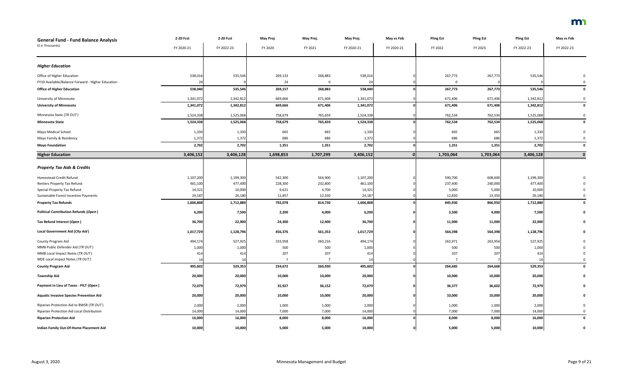| <b>General Fund - Fund Balance Analysis</b>                                            | 2-20 Fcst       | 2-20 Fcst       | May Proj.      | May Proj.      | May Proj.       | May vs Feb | <b>Pling Est</b> | <b>Pling Est</b> | <b>Pling Est</b> | May vs Feb  |
|----------------------------------------------------------------------------------------|-----------------|-----------------|----------------|----------------|-----------------|------------|------------------|------------------|------------------|-------------|
| (\$ in Thousands)                                                                      | FY 2020-21      | FY 2022-23      | FY 2020        | FY 2021        | FY 2020-21      | FY 2020-21 | FY 2022          | FY 2023          | FY 2022-23       | FY 2022-23  |
| <b>Higher Education</b>                                                                |                 |                 |                |                |                 |            |                  |                  |                  |             |
| Office of Higher Education                                                             | 538,016         | 535,546         | 269,133        | 268,883        | 538,016         |            | 267,773          | 267,773          | 535,546          |             |
| FY19 Available/Balance Forward - Higher Education                                      | 24              |                 | 24             | $\mathbf 0$    | 24              |            | $\mathbf 0$      |                  |                  |             |
| <b>Office of Higher Education</b>                                                      | 538,040         | 535,546         | 269,157        | 268,883        | 538,040         |            | 267,773          | 267,773          | 535,546          |             |
| University of Minnesota                                                                | 1,341,072       | 1,342,812       | 669,666        | 671,406        | 1,341,072       |            | 671,406          | 671,406          | 1,342,812        |             |
| <b>University of Minnesota</b>                                                         | 1,341,072       | 1,342,812       | 669,666        | 671,406        | 1,341,072       |            | 671,406          | 671,406          | 1,342,812        | $\mathbf 0$ |
| Minnesota State (TR OUT)                                                               | 1,524,338       | 1,525,068       | 758,679        | 765,659        | 1,524,338       |            | 762,534          | 762,534          | 1,525,068        |             |
| <b>Minnesota State</b>                                                                 | 1,524,338       | 1,525,068       | 758,679        | 765,659        | 1,524,338       |            | 762,534          | 762,534          | 1,525,068        | 0           |
| Mayo Medical School                                                                    | 1,330           | 1,330           | 665            | 665            | 1,330           |            | 665              | 665              | 1,330            |             |
| Mayo Family & Residency                                                                | 1,372           | 1,372           | 686            | 686            | 1,372           |            | 686              | 686              | 1,372            |             |
| <b>Mayo Foundation</b>                                                                 | 2,702           | 2,702           | 1,351          | 1,351          | 2,702           |            | 1,351            | 1,351            | 2,702            |             |
| <b>Higher Education</b>                                                                | 3,406,152       | 3,406,128       | 1,698,853      | 1,707,299      | 3,406,152       |            | 1,703,064        | 1,703,064        | 3,406,128        |             |
|                                                                                        |                 |                 |                |                |                 |            |                  |                  |                  |             |
| <b>Property Tax Aids &amp; Credits</b>                                                 |                 |                 |                |                |                 |            |                  |                  |                  |             |
| Homestead Credit Refund                                                                | 1,107,200       | 1,199,300       | 542,300        | 564,900        | 1,107,200       |            | 590,700          | 608,600          | 1,199,300        |             |
| Renters Property Tax Refund                                                            | 461,100         | 477,400         | 228,300        | 232,800        | 461,100         |            | 237,400          | 240,000          | 477,400          |             |
| Special Property Tax Refund                                                            | 14,321          | 10,000          | 9,621          | 4,700          | 14,321          |            | 5,000            | 5,000            | 10,000           |             |
| Sustainable Forest Incentive Payments                                                  | 24,187          | 26,180          | 11,857         | 12,330         | 24,187          |            | 12,830           | 13,350           | 26,180           |             |
| <b>Property Tax Refunds</b>                                                            | 1,606,808       | 1,712,880       | 792,078        | 814,730        | 1,606,808       |            | 845,930          | 866,950          | 1,712,880        |             |
| <b>Political Contribution Refunds (Open)</b>                                           | 6,200           | 7,500           | 2,200          | 4,000          | 6,200           |            | 3,500            | 4,000            | 7,500            |             |
| Tax Refund Interest (Open)                                                             | 36,700          | 22,900          | 24,300         | 12,400         | 36,700          |            | 11,900           | 11,000           | 22,900           |             |
| <b>Local Government Aid (City Aid)</b>                                                 | 1,017,729       | 1,128,796       | 456,376        | 561,353        | 1,017,729       |            | 564,398          | 564,398          | 1,128,796        |             |
| County Program Aid                                                                     | 494,174         | 527,925         | 233,958        | 260,216        | 494,174         |            | 263,971          | 263,954          | 527,925          |             |
| MMB Public Defender Aid (TR OUT)                                                       | 1,000           | 1,000           | 500            | 500            | 1,000           |            | 500              | 500              | 1,000            |             |
| MMB Local Impact Notes (TR OUT)                                                        | 414             | 414             | 207            | 207            | 414             |            | 207              | 207              | 414              |             |
| MDE Local Impact Notes (TR OUT)                                                        | 14              | 14              | $\overline{7}$ |                |                 |            | $\overline{7}$   |                  | 14               |             |
| <b>County Program Aid</b>                                                              | 495,602         | 529,353         | 234,672        | 260,930        | 495,602         |            | 264,685          | 264,668          | 529,353          |             |
| <b>Township Aid</b>                                                                    | 20,000          | 20,000          | 10,000         | 10,000         | 20,000          |            | 10,000           | 10,000           | 20,000           |             |
| Payment in Lieu of Taxes - PILT (Open)                                                 | 72,079          | 72,979          | 35,927         | 36,152         | 72,079          |            | 36,377           | 36,602           | 72,979           |             |
| <b>Aquatic Invasive Species Prevention Aid</b>                                         | 20,000          | 20,000          | 10,000         | 10,000         | 20,000          |            | 10,000           | 10,000           | 20,000           |             |
|                                                                                        |                 |                 |                |                |                 |            |                  |                  |                  |             |
| Riparian Protection Aid to BWSR (TR OUT)<br>Riparian Protection Aid Local Distribution | 2,000<br>14,000 | 2,000<br>14,000 | 1,000<br>7,000 | 1,000<br>7,000 | 2,000<br>14,000 |            | 1,000<br>7,000   | 1,000<br>7,000   | 2,000<br>14,000  |             |
|                                                                                        |                 |                 |                |                |                 |            |                  |                  |                  |             |
| <b>Riparian Protection Aid</b>                                                         | 16,000          | 16,000          | 8,000          | 8,000          | 16,000          |            | 8,000            | 8,000            | 16,000           |             |
| Indian Family Out-Of-Home Placement Aid                                                | 10,000          | 10,000          | 5,000          | 5,000          | 10,000          |            | 5,000            | 5,000            | 10,000           |             |

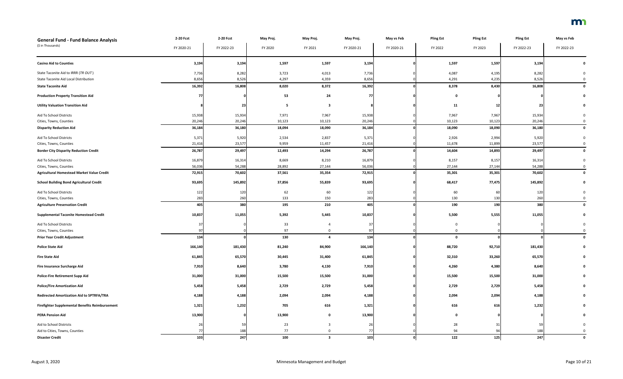| <b>General Fund - Fund Balance Analysis</b>       | 2-20 Fcst  | 2-20 Fcst  | May Proj. | May Proj.    | May Proj.  | May vs Feb | <b>Pling Est</b> | <b>Pling Est</b> | <b>Pling Est</b> | May vs Feb |
|---------------------------------------------------|------------|------------|-----------|--------------|------------|------------|------------------|------------------|------------------|------------|
| (\$ in Thousands)                                 | FY 2020-21 | FY 2022-23 | FY 2020   | FY 2021      | FY 2020-21 | FY 2020-21 | FY 2022          | FY 2023          | FY 2022-23       | FY 2022-23 |
| <b>Casino Aid to Counties</b>                     | 3,194      | 3,194      | 1,597     | 1,597        | 3,194      |            | 1,597            | 1,597            | 3,194            |            |
| State Taconite Aid to IRRR (TR OUT)               | 7,736      | 8,282      | 3,723     | 4,013        | 7,736      |            | 4,087            | 4,195            | 8,282            |            |
| State Taconite Aid Local Distribution             | 8,656      | 8,526      | 4,297     | 4,359        | 8,656      |            | 4,291            | 4,235            | 8,526            |            |
| <b>State Taconite Aid</b>                         | 16,392     | 16,808     | 8,020     | 8,372        | 16,392     |            | 8,378            | 8,430            | 16,808           |            |
| <b>Production Property Transition Aid</b>         | 7          |            | 53        | 24           | <b>771</b> |            | - 0              |                  |                  |            |
| <b>Utility Valuation Transition Aid</b>           |            | 23         | - 5       | -3           |            |            | 11               | -12              | 23               |            |
| Aid To School Districts                           | 15,938     | 15,934     | 7,971     | 7,967        | 15,938     |            | 7,967            | 7,967            | 15,934           |            |
| Cities, Towns, Counties                           | 20,246     | 20,246     | 10,123    | 10,123       | 20,246     |            | 10,123           | 10,123           | 20,246           |            |
| <b>Disparity Reduction Aid</b>                    | 36,184     | 36,180     | 18,094    | 18,090       | 36,184     |            | 18,090           | 18,090           | 36,180           |            |
| Aid To School Districts                           | 5,371      | 5,920      | 2,534     | 2,837        | 5,371      |            | 2,926            | 2,994            | 5,920            |            |
| Cities, Towns, Counties                           | 21,416     | 23,577     | 9,959     | 11,457       | 21,416     |            | 11,678           | 11,899           | 23,577           |            |
| <b>Border City Disparity Reduction Credit</b>     | 26,787     | 29,497     | 12,493    | 14,294       | 26,787     |            | 14,604           | 14,893           | 29,497           |            |
| Aid To School Districts                           | 16,879     | 16,314     | 8,669     | 8,210        | 16,879     |            | 8,157            | 8,157            | 16,314           |            |
| Cities, Towns, Counties                           | 56,036     | 54,288     | 28,892    | 27,144       | 56,036     |            | 27,144           | 27,144           | 54,288           |            |
| <b>Agricultural Homestead Market Value Credit</b> | 72,915     | 70,602     | 37,561    | 35,354       | 72,915     |            | 35,301           | 35,301           | 70,602           |            |
| <b>School Building Bond Agricultural Credit</b>   | 93,695     | 145,892    | 37,856    | 55,839       | 93,695     |            | 68,417           | 77,475           | 145,892          |            |
| Aid To School Districts                           | 122        | 120        | 62        | 60           | 122        |            | 60               | 60               | 120              |            |
| Cities, Towns, Counties                           | 283        | 260        | 133       | 150          | 283        |            | 130              | 130              | 260              |            |
| <b>Agriculture Preservation Credit</b>            | 405        | 380        | 195       | 210          | 405        |            | 190              | 190              | 380              |            |
| <b>Supplemental Taconite Homestead Credit</b>     | 10,837     | 11,055     | 5,392     | 5,445        | 10,837     |            | 5,500            | 5,555            | 11,055           |            |
| Aid To School Districts                           | 37         |            | 33        |              | 37         |            | $\mathbf 0$      |                  |                  |            |
| Cities, Towns, Counties                           | 97         |            | 97        | $\mathbf 0$  | 97         |            | $\Omega$         |                  |                  | $\Omega$   |
| <b>Prior Year Credit Adjustment</b>               | 134        |            | 130       | 4            | 134        |            | $\Omega$         |                  |                  |            |
| <b>Police State Aid</b>                           | 166,140    | 181,430    | 81,240    | 84,900       | 166,140    |            | 88,720           | 92,710           | 181,430          |            |
| <b>Fire State Aid</b>                             | 61,845     | 65,570     | 30,445    | 31,400       | 61,845     |            | 32,310           | 33,260           | 65,570           |            |
| <b>Fire Insurance Surcharge Aid</b>               | 7,910      | 8,640      | 3,780     | 4,130        | 7,910      |            | 4,260            | 4,380            | 8,640            |            |
| <b>Police-Fire Retirement Supp Aid</b>            | 31,000     | 31,000     | 15,500    | 15,500       | 31,000     |            | 15,500           | 15,500           | 31,000           |            |
| <b>Police/Fire Amortization Aid</b>               | 5,458      | 5,458      | 2,729     | 2,729        | 5,458      |            | 2,729            | 2,729            | 5,458            |            |
| Redirected Amortization Aid to SPTRFA/TRA         | 4,188      | 4,188      | 2,094     | 2,094        | 4,188      |            | 2,094            | 2,094            | 4,188            |            |
| Firefighter Supplemental Benefits Reimbursement   | 1,321      | 1,232      | 705       | 616          | 1,321      |            | 616              | 616              | 1,232            |            |
| <b>PERA Pension Aid</b>                           | 13,900     |            | 13,900    | $\mathbf{0}$ | 13,900     |            | $\mathbf{0}$     |                  |                  |            |
| Aid to School Districts                           | 26         | 59         | 23        |              | 26         |            | 28               | 31               | 59               |            |
| Aid to Cities, Towns, Counties                    |            | 188        | 77        |              |            |            | 94               | 94               | 188              |            |
| <b>Disaster Credit</b>                            | 103        | 247        | 100       | $\mathbf{3}$ | 103        |            | 122              | 125              | 247              |            |

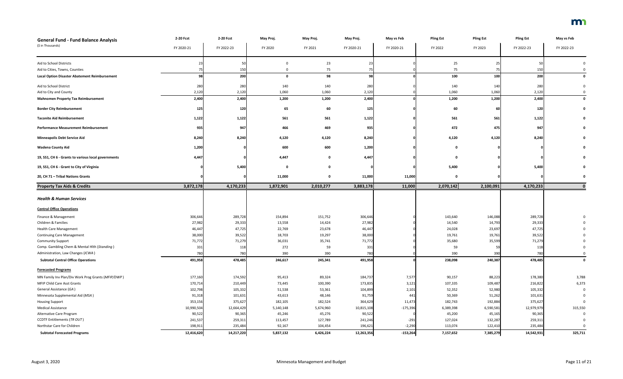| <b>General Fund - Fund Balance Analysis</b>          | 2-20 Fcst  | 2-20 Fcst  | May Proj.    | May Proj. | May Proj.  | May vs Feb | <b>Pling Est</b> | <b>Pling Est</b> | <b>Pling Est</b> | May vs Feb  |
|------------------------------------------------------|------------|------------|--------------|-----------|------------|------------|------------------|------------------|------------------|-------------|
| (\$ in Thousands)                                    | FY 2020-21 | FY 2022-23 | FY 2020      | FY 2021   | FY 2020-21 | FY 2020-21 | FY 2022          | FY 2023          | FY 2022-23       | FY 2022-23  |
| Aid to School Districts                              |            | 50         |              | 23        |            |            | 25               | -25              | 50               |             |
| Aid to Cities, Towns, Counties                       |            | 150        |              | 75        |            |            | 75               |                  | 150              |             |
| <b>Local Option Disaster Abatement Reimbursement</b> | <b>98</b>  | 200        | $\mathbf{0}$ | 98        | 98         |            | 100              | 100              | 200              |             |
| Aid to School District                               | 280        | 280        | 140          | 140       | 280        |            | 140              | 140              | 280              |             |
| Aid to City and County                               | 2,120      | 2,120      | 1,060        | 1,060     | 2,120      |            | 1,060            | 1,060            | 2,120            |             |
| <b>Mahnomen Property Tax Reimbursement</b>           | 2,400      | 2,400      | 1,200        | 1,200     | 2,400      |            | 1,200            | 1,200            | 2,400            |             |
| <b>Border City Reimbursement</b>                     | 125        | 120        | 65           | 60        | 125        |            | 60               | -60              | 120              |             |
| <b>Taconite Aid Reimbursement</b>                    | 1,122      | 1,122      | 561          | 561       | 1,122      |            | 561              | 561              | 1,122            |             |
| <b>Performance Measurement Reimbursement</b>         | 935        | 947        | 466          | 469       | 935        |            | 472              | 475              | 947              |             |
| <b>Minneapolis Debt Service Aid</b>                  | 8,240      | 8,240      | 4,120        | 4,120     | 8,240      |            | 4,120            | 4,120            | 8,240            |             |
| <b>Wadena County Aid</b>                             | 1,200      |            | 600          | 600       | 1,200      |            | $\Omega$         |                  |                  |             |
| 19, SS1, CH 6 - Grants to various local governments  | 4,447      |            | 4,447        |           | 4,447      |            |                  |                  |                  |             |
| 19, SS1, CH 6 - Grant to City of Virginia            |            | 5,400      | - 0          |           |            |            | 5,400            |                  | 5,400            |             |
| 20, CH 71 - Tribal Nations Grants                    |            |            | 11,000       |           | 11,000     | 11,000     | $\mathbf{0}$     |                  |                  |             |
| <b>Property Tax Aids &amp; Credits</b>               | 3,872,178  | 4,170,233  | 1,872,901    | 2,010,277 | 3,883,178  | 11,000     | 2,070,142        | 2,100,091        | 4,170,233        |             |
| <b>Health &amp; Human Services</b>                   |            |            |              |           |            |            |                  |                  |                  |             |
| <b>Central Office Operations</b>                     |            |            |              |           |            |            |                  |                  |                  |             |
| Finance & Management                                 | 306,646    | 289,728    | 154,894      | 151,752   | 306,646    |            | 143,640          | 146,088          | 289,728          |             |
| Children & Families                                  | 27,982     | 29,333     | 13,558       | 14,424    | 27,982     |            | 14,540           | 14,793           | 29,333           |             |
| <b>Health Care Management</b>                        | 46,447     | 47,725     | 22,769       | 23,678    | 46,447     |            | 24,028           | 23,697           | 47,725           |             |
| <b>Continuing Care Management</b>                    | 38,000     | 39,522     | 18,703       | 19,297    | 38,000     |            | 19,761           | 19,761           | 39,522           |             |
| <b>Community Support</b>                             | 71,772     | 71,279     | 36,031       | 35,741    | 71,772     |            | 35,680           | 35,599           | 71,279           |             |
| Comp. Gambling Chem & Mental Hlth (Standing)         | 331        | 118        | 272          | 59        | 331        |            | 59               | -59              | 118              |             |
| Administration, Law Changes (ICWA)                   | 780        | 780        | 390          | 390       | 780        |            | 390              | 390              | 780              |             |
| <b>Subtotal Central Office Operations</b>            | 491,958    | 478,485    | 246,617      | 245,341   | 491,958    |            | 238,098          | 240,387          | 478,485          | $\mathbf 0$ |
| <b>Forecasted Programs</b>                           |            |            |              |           |            |            |                  |                  |                  |             |
| MN Family Inv Plan/Div Work Prog Grants (MFIP/DWP)   | 177,160    | 174,592    | 95,413       | 89,324    | 184,737    | 7,577      | 90,157           | 88,223           | 178,380          | 3,788       |
| MFIP Child Care Asst Grants                          | 170,714    | 210,449    | 73,445       | 100,390   | 173,835    | 3,121      | 107,335          | 109,487          | 216,822          | 6,373       |
| General Assistance (GA)                              | 102,798    | 105,332    | 51,538       | 53,361    | 104,899    | 2,101      | 52,352           | 52,980           | 105,332          |             |
| Minnesota Supplemental Aid (MSA)                     | 91,318     | 101,631    | 43,613       | 48,146    | 91,759     | 441        | 50,369           | 51,262           | 101,631          |             |
| <b>Housing Support</b>                               | 353,156    | 375,627    | 182,105      | 182,524   | 364,629    | 11,473     | 182,743          | 192,884          | 375,627          |             |
| <b>Medical Assistance</b>                            | 10,990,504 | 12,664,429 | 5,140,148    | 5,674,960 | 10,815,108 | $-175,396$ | 6,389,398        | 6,590,581        | 12,979,979       | 315,550     |
| Alternative Care Program                             | 90,522     | 90,365     | 45,246       | 45,276    | 90,522     |            | 45,200           | 45,165           | 90,365           | 0           |
| <b>CCDTF Entitlements (TR OUT)</b>                   | 241,537    | 259,311    | 113,457      | 127,789   | 241,246    | $-291$     | 127,024          | 132,287          | 259,311          |             |
| Northstar Care for Children                          | 198,911    | 235,484    | 92,167       | 104,454   | 196,621    | $-2,290$   | 113,074          | 122,410          | 235,484          |             |
| <b>Subtotal Forecasted Programs</b>                  | 12,416,620 | 14,217,220 | 5,837,132    | 6,426,224 | 12,263,356 | $-153,264$ | 7,157,652        | 7,385,279        | 14,542,931       | 325,711     |

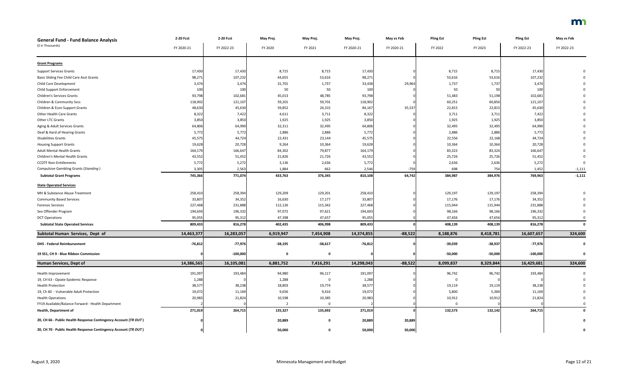| <b>General Fund - Fund Balance Analysis</b>                     | 2-20 Fcst  | 2-20 Fcst  | May Proj.      | May Proj.   | May Proj.  | May vs Feb | <b>Pling Est</b> | <b>Pling Est</b> | <b>Pling Est</b> | May vs Feb |
|-----------------------------------------------------------------|------------|------------|----------------|-------------|------------|------------|------------------|------------------|------------------|------------|
| (\$ in Thousands)                                               | FY 2020-21 | FY 2022-23 | FY 2020        | FY 2021     | FY 2020-21 | FY 2020-21 | FY 2022          | FY 2023          | FY 2022-23       | FY 2022-23 |
|                                                                 |            |            |                |             |            |            |                  |                  |                  |            |
| <b>Grant Programs</b>                                           |            |            |                |             |            |            |                  |                  |                  |            |
| <b>Support Services Grants</b>                                  | 17,430     | 17,430     | 8,715          | 8,715       | 17,430     |            | 8,715            | 8,715            | 17,430           |            |
| Basic Sliding Fee Child Care Asst Grants                        | 98,271     | 107,232    | 44,655         | 53,616      | 98,271     |            | 53,616           | 53,616           | 107,232          |            |
| Child Care Development                                          | 3,474      | 3,474      | 31,701         | 1,737       | 33,438     | 29,964     | 1,737            | 1,737            | 3,474            |            |
| <b>Child Support Enforcement</b>                                | 100        | 100        | 50             | 50          | 100        |            | 50               |                  | 100              |            |
| <b>Children's Services Grants</b>                               | 93,798     | 102,681    | 45,013         | 48,785      | 93,798     |            | 51,483           | 51,198           | 102,681          |            |
| Children & Community Svcs                                       | 118,902    | 121,107    | 59,201         | 59,701      | 118,902    |            | 60,251           | 60,856           | 121,107          |            |
| Children & Econ Support Grants                                  | 48,630     | 45,630     | 59,852         | 24,315      | 84,167     | 35,537     | 22,815           | 22,815           | 45,630           |            |
| <b>Other Health Care Grants</b>                                 | 8,322      | 7,422      | 4,611          | 3,711       | 8,322      |            | 3,711            | 3,711            | 7,422            |            |
| Other LTC Grants                                                | 3,850      | 3,850      | 1,925          | 1,925       | 3,850      |            | 1,925            | 1,925            | 3,850            |            |
| Aging & Adult Services Grants                                   | 64,806     | 64,990     | 32,311         | 32,495      | 64,806     |            | 32,495           | 32,495           | 64,990           |            |
| Deaf & Hard of Hearing Grants                                   | 5,772      | 5,772      | 2,886          | 2,886       | 5,772      |            | 2,886            | 2,886            | 5,772            |            |
| <b>Disabilities Grants</b>                                      | 45,575     | 44,724     | 22,431         | 23,144      | 45,575     |            | 22,556           | 22,168           | 44,724           |            |
| <b>Housing Support Grants</b>                                   | 19,628     | 20,728     | 9,264          | 10,364      | 19,628     |            | 10,364           | 10,364           | 20,728           |            |
| <b>Adult Mental Health Grants</b>                               | 164,179    | 166,647    | 84,302         | 79,877      | 164,179    |            | 83,323           | 83,324           | 166,647          |            |
| Children's Mental Health Grants                                 | 43,552     | 51,452     | 21,826         | 21,726      | 43,552     |            | 25,726           | 25,726           | 51,452           |            |
| <b>CCDTF Non-Entitlements</b>                                   | 5,772      | 5,272      | 3,136          | 2,636       | 5,772      |            | 2,636            | 2,636            | 5,272            |            |
| <b>Compulsive Gambling Grants (Standing)</b>                    | 3,305      | 2,563      | 1,884          | 662         | 2,546      | $-759$     | 698              | 754              | 1,452            | $-1,111$   |
| <b>Subtotal Grant Programs</b>                                  | 745,366    | 771,074    | 433,763        | 376,345     | 810,108    | 64,742     | 384,987          | 384,976          | 769,963          | $-1,111$   |
| <b>State Operated Services</b>                                  |            |            |                |             |            |            |                  |                  |                  |            |
| MH & Substance Abuse Treatment                                  | 258,410    | 258,394    | 129,209        | 129,201     | 258,410    |            | 129,197          | 129,197          | 258,394          |            |
| <b>Community Based Services</b>                                 | 33,807     | 34,352     | 16,630         | 17,177      | 33,807     |            | 17,176           | 17,176           | 34,352           |            |
| <b>Forensic Services</b>                                        | 227,468    | 231,888    | 112,126        | 115,342     | 227,468    |            | 115,944          | 115,944          | 231,888          |            |
| Sex Offender Program                                            | 194,693    | 196,332    | 97,072         | 97,621      | 194,693    |            | 98,166           | 98,166           | 196,332          |            |
| <b>DCT Operations</b>                                           | 95,055     | 95,31      | 47,398         | 47,657      | 95,055     |            | 47,656           | 47,656           | 95,312           |            |
| <b>Subtotal State Operated Services</b>                         | 809,433    | 816,278    | 402,435        | 406,998     | 809,433    |            | 408,139          | 408,139          | 816,278          |            |
| Subtotal Human Services, Dept of                                | 14,463,377 | 16,283,057 | 6,919,947      | 7,454,908   | 14,374,855 | $-88,522$  | 8,188,876        | 8,418,781        | 16,607,657       | 324,600    |
|                                                                 |            |            |                |             |            |            |                  |                  |                  |            |
| <b>DHS - Federal Reimbursement</b>                              | $-76,812$  | $-77,976$  | $-38,195$      | $-38,617$   | $-76,812$  |            | $-39,039$        | $-38,937$        | $-77,976$        | 0          |
| 19 SS1, CH 9 - Blue Ribbon Commission                           |            | $-100,000$ | $\mathbf 0$    | 0           |            |            | $-50,000$        | $-50,000$        | $-100,000$       | 0          |
| <b>Human Services, Dept of</b>                                  | 14,386,565 | 16,105,081 | 6,881,752      | 7,416,291   | 14,298,043 | $-88,522$  | 8,099,837        | 8,329,844        | 16,429,681       | 324,600    |
| Health Improvement                                              | 191,097    | 193,484    | 94,980         | 96,117      | 191,097    |            | 96,742           | 96,742           | 193,484          |            |
| 19, CH 63 - Opiate Epidemic Response                            | 1,288      |            | 1,288          |             | 1,288      |            |                  |                  |                  |            |
| <b>Health Protection</b>                                        | 38,577     | 38,238     | 18,803         | 19,774      | 38,577     |            | 19,119           | 19,119           | 38,238           |            |
| 19, Ch 60 - Vulnerable Adult Protection                         | 19,072     | 11,169     | 9,656          | 9,416       | 19,072     |            | 5,800            | 5,369            | 11,169           |            |
| <b>Health Operations</b>                                        | 20,983     | 21,824     | 10,598         | 10,385      | 20,983     |            | 10,912           | 10,912           | 21,824           |            |
| FY19 Available/Balance Forward - Health Department              |            |            | $\overline{2}$ |             |            |            | $\Omega$         |                  |                  |            |
| <b>Health, Department of</b>                                    | 271,019    | 264,715    | 135,327        | 135,692     | 271,019    |            | 132,573          | 132,142          | 264,715          | 0          |
| 20, CH 66 - Public Health Response Contingency Account (TR OUT) |            |            | 20,889         | 0           | 20,889     | 20,889     |                  |                  |                  |            |
| 20, CH 70 - Public Health Response Contingency Account (TR OUT) |            |            | 50,000         | $\mathbf 0$ | 50,000     | 50,000     |                  |                  |                  |            |

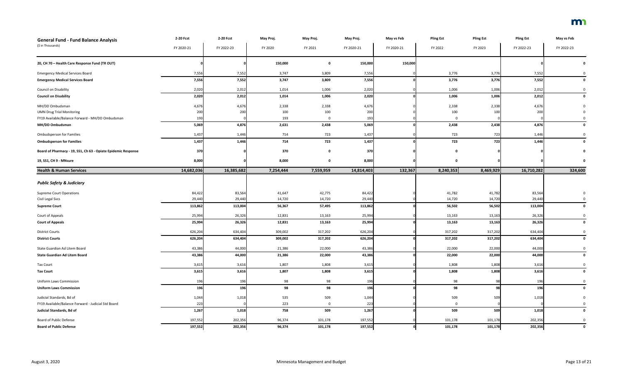| <b>General Fund - Fund Balance Analysis</b>                   | 2-20 Fcst  | 2-20 Fcst  | May Proj. | May Proj.    | May Proj.  | May vs Feb | <b>Pling Est</b> | <b>Pling Est</b> | <b>Pling Est</b> | May vs Feb   |
|---------------------------------------------------------------|------------|------------|-----------|--------------|------------|------------|------------------|------------------|------------------|--------------|
| (\$ in Thousands)                                             | FY 2020-21 | FY 2022-23 | FY 2020   | FY 2021      | FY 2020-21 | FY 2020-21 | FY 2022          | FY 2023          | FY 2022-23       | FY 2022-23   |
|                                                               |            |            |           |              |            |            |                  |                  |                  |              |
| 20, CH 70 - Health Care Response Fund (TR OUT)                |            |            | 150,000   | $\mathbf{0}$ | 150,000    | 150,000    |                  |                  |                  |              |
| <b>Emergency Medical Services Board</b>                       | 7,556      | 7,552      | 3,747     | 3,809        | 7,556      |            | 3,776            | 3,776            | 7,552            |              |
| <b>Emergency Medical Services Board</b>                       | 7,556      | 7,552      | 3,747     | 3,809        | 7,556      |            | 3,776            | 3,776            | 7,552            |              |
| Council on Disability                                         | 2,020      | 2,012      | 1,014     | 1,006        | 2,020      |            | 1,006            | 1,006            | 2,012            |              |
| <b>Council on Disability</b>                                  | 2,020      | 2,012      | 1,014     | 1,006        | 2,020      |            | 1,006            | 1,006            | 2,012            |              |
| MH/DD Ombudsman                                               | 4,676      | 4,676      | 2,338     | 2,338        | 4,676      |            | 2,338            | 2,338            | 4,676            |              |
| <b>UMN Drug Trial Monitoring</b>                              | 200        | 200        | 100       | 100          | 200        |            | 100              | 100              | 200              |              |
| FY19 Available/Balance Forward - MH/DD Ombudsman              | 193        |            | 193       | <sup>0</sup> | 193        |            | $\Omega$         |                  |                  |              |
| MH/DD Ombudsman                                               | 5,069      | 4,876      | 2,631     | 2,438        | 5,069      |            | 2,438            | 2,438            | 4,876            |              |
| <b>Ombudsperson for Families</b>                              | 1,437      | 1,446      | 714       | 723          | 1,437      |            | 723              | 723              | 1,446            |              |
| <b>Ombudsperson for Families</b>                              | 1,437      | 1,446      | 714       | 723          | 1,437      |            | 723              | 723              | 1,446            | $\mathbf{0}$ |
| Board of Pharmacy - 19, SS1, Ch 63 - Opiate Epidemic Response | 370        |            | 370       | $\mathbf{0}$ | 370        |            | $\Omega$         |                  |                  |              |
| 19, SS1, CH 9 - MNsure                                        | 8,000      |            | 8,000     | 0            | 8,000      |            | $\mathbf 0$      |                  |                  |              |
| <b>Health &amp; Human Services</b>                            | 14,682,036 | 16,385,682 | 7,254,444 | 7,559,959    | 14,814,403 | 132,367    | 8,240,353        | 8,469,929        | 16,710,282       | 324,600      |
|                                                               |            |            |           |              |            |            |                  |                  |                  |              |
| <b>Public Safety &amp; Judiciary</b>                          |            |            |           |              |            |            |                  |                  |                  |              |
| <b>Supreme Court Operations</b>                               | 84,422     | 83,564     | 41,647    | 42,775       | 84,422     |            | 41,782           | 41,782           | 83,564           |              |
| Civil Legal Svcs                                              | 29,440     | 29,440     | 14,720    | 14,720       | 29,440     |            | 14,720           | 14,720           | 29,440           |              |
| <b>Supreme Court</b>                                          | 113,862    | 113,004    | 56,367    | 57,495       | 113,862    |            | 56,502           | 56,502           | 113,004          | 0            |
| Court of Appeals                                              | 25,994     | 26,326     | 12,831    | 13,163       | 25,994     |            | 13,163           | 13,163           | 26,326           |              |
| <b>Court of Appeals</b>                                       | 25,994     | 26,326     | 12,831    | 13,163       | 25,994     |            | 13,163           | 13,163           | 26,326           | $\Omega$     |
| <b>District Courts</b>                                        | 626,204    | 634,404    | 309,002   | 317,202      | 626,204    |            | 317,202          | 317,202          | 634,404          | 0            |
| <b>District Courts</b>                                        | 626,204    | 634,404    | 309,002   | 317,202      | 626,204    |            | 317,202          | 317,202          | 634,404          | $\mathbf 0$  |
| State Guardian Ad Litem Board                                 | 43,386     | 44,000     | 21,386    | 22,000       | 43,386     |            | 22,000           | 22,000           | 44,000           |              |
| <b>State Guardian Ad Litem Board</b>                          | 43,386     | 44,000     | 21,386    | 22,000       | 43,386     |            | 22,000           | 22,000           | 44,000           | 0            |
| <b>Tax Court</b>                                              | 3,615      | 3,616      | 1,807     | 1,808        | 3,615      |            | 1,808            | 1,808            | 3,616            | $\Omega$     |
| <b>Tax Court</b>                                              | 3,615      | 3,616      | 1,807     | 1,808        | 3,615      |            | 1,808            | 1,808            | 3,616            |              |
| <b>Uniform Laws Commission</b>                                | 196        | 196        | 98        | 98           | 196        |            | 98               | 98               | 196              |              |
| <b>Uniform Laws Commission</b>                                | 196        | 196        | 98        | 98           | 196        |            | 98               | 98               | 196              | $\mathbf 0$  |
| Judicial Standards, Bd of                                     | 1,044      | 1,018      | 535       | 509          | 1,044      |            | 509              | 509              | 1,018            |              |
| FY19 Available/Balance Forward - Judicial Std Board           | 223        |            | 223       | $\Omega$     | 223        |            | $\mathbf 0$      |                  |                  |              |
| Judicial Standards, Bd of                                     | 1,267      | 1,018      | 758       | 509          | 1,267      |            | 509              | 509              | 1,018            | $\mathbf 0$  |
| Board of Public Defense                                       | 197,552    | 202,356    | 96,374    | 101,178      | 197,552    |            | 101,178          | 101,178          | 202,356          |              |
| <b>Board of Public Defense</b>                                | 197,552    | 202,356    | 96,374    | 101,178      | 197,552    | Οl         | 101,178          | 101,178          | 202,356          | $\mathbf 0$  |

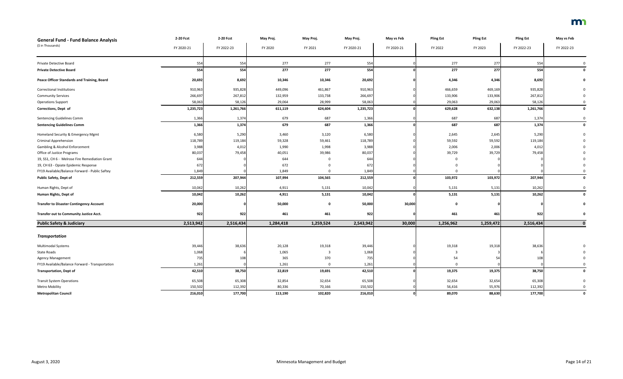| <b>General Fund - Fund Balance Analysis</b>        | 2-20 Fcst  | 2-20 Fcst  | May Proj. | May Proj. | May Proj.  | May vs Feb | <b>Pling Est</b> | <b>Pling Est</b> | <b>Pling Est</b> | May vs Feb   |
|----------------------------------------------------|------------|------------|-----------|-----------|------------|------------|------------------|------------------|------------------|--------------|
| (\$ in Thousands)                                  | FY 2020-21 | FY 2022-23 | FY 2020   | FY 2021   | FY 2020-21 | FY 2020-21 | FY 2022          | FY 2023          | FY 2022-23       | FY 2022-23   |
| Private Detective Board                            | 554        | 554        | 277       | 277       | 554        |            | 277              | 277              | 554              |              |
| <b>Private Detective Board</b>                     | 554        | 554        | 277       | 277       | 554        |            | 277              | 277              | 554              | $\mathbf{0}$ |
| <b>Peace Officer Standards and Training, Board</b> | 20,692     | 8,692      | 10,346    | 10,346    | 20,692     |            | 4,346            | 4,346            | 8,692            |              |
| <b>Correctional Institutions</b>                   | 910,963    | 935,828    | 449,096   | 461,867   | 910,963    |            | 466,659          | 469,169          | 935,828          |              |
| <b>Community Services</b>                          | 266,697    | 267,812    | 132,959   | 133,738   | 266,697    |            | 133,906          | 133,906          | 267,812          |              |
| <b>Operations Support</b>                          | 58,063     | 58,126     | 29,064    | 28,999    | 58,063     |            | 29,063           | 29,063           | 58,126           |              |
| Corrections, Dept of                               | 1,235,723  | 1,261,766  | 611,119   | 624,604   | 1,235,723  |            | 629,628          | 632,138          | 1,261,766        | $\Omega$     |
| <b>Sentencing Guidelines Comm</b>                  | 1,366      | 1,374      | 679       | 687       | 1,366      |            | 687              | 687              | 1,374            |              |
| <b>Sentencing Guidelines Comm</b>                  | 1,366      | 1,374      | 679       | 687       | 1,366      |            | 687              | 687              | 1,374            |              |
| Homeland Security & Emergency Mgmt                 | 6,580      | 5,290      | 3,460     | 3,120     | 6,580      |            | 2,645            | 2,645            | 5,290            |              |
| <b>Criminal Apprehension</b>                       | 118,789    | 119,184    | 59,328    | 59,461    | 118,789    |            | 59,592           | 59,592           | 119,184          |              |
| <b>Gambling &amp; Alcohol Enforcement</b>          | 3,988      | 4,012      | 1,990     | 1,998     | 3,988      |            | 2,006            | 2,006            | 4,012            |              |
| Office of Justice Programs                         | 80,037     | 79,458     | 40,051    | 39,986    | 80,037     |            | 39,729           | 39,729           | 79,458           |              |
| 19, SS1, CH 6 - Melrose Fire Remediation Grant     | 644        |            | 644       |           | 644        |            |                  |                  |                  |              |
| 19, CH 63 - Opiate Epidemic Response               | 672        |            | 672       |           | 672        |            |                  |                  |                  |              |
| FY19 Available/Balance Forward - Public Saftey     | 1,849      |            | 1,849     |           | 1,849      |            | $\Omega$         |                  |                  |              |
| Public Safety, Dept of                             | 212,559    | 207,944    | 107,994   | 104,565   | 212,559    |            | 103,972          | 103,972          | 207,944          | $\mathbf 0$  |
| Human Rights, Dept of                              | 10,042     | 10,262     | 4,911     | 5,131     | 10,042     |            | 5,131            | 5,131            | 10,262           |              |
| Human Rights, Dept of                              | 10,042     | 10,262     | 4,911     | 5,131     | 10,042     |            | 5,131            | 5,131            | 10,262           |              |
| <b>Transfer to Disaster Contingency Account</b>    | 20,000     |            | 50,000    | 0         | 50,000     | 30,000     | $\Omega$         |                  |                  |              |
| Transfer out to Community Justice Acct.            | 922        | 922        | 461       | 461       | 922        |            | 461              | 461              | 922              |              |
| <b>Public Safety &amp; Judiciary</b>               | 2,513,942  | 2,516,434  | 1,284,418 | 1,259,524 | 2,543,942  | 30,000     | 1,256,962        | 1,259,472        | 2,516,434        |              |
| <b>Transportation</b>                              |            |            |           |           |            |            |                  |                  |                  |              |
| <b>Multimodal Systems</b>                          | 39,446     | 38,636     | 20,128    | 19,318    | 39,446     |            | 19,318           | 19,318           | 38,636           |              |
| State Roads                                        | 1,068      |            | 1,065     |           | 1,068      |            |                  |                  |                  |              |
| <b>Agency Management</b>                           | 735        | 108        | 365       | 370       | 735        |            | 54               | -54              | 108              |              |
| FY19 Available/Balance Forward - Transportation    | 1,261      |            | 1,261     | $\Omega$  | 1,261      |            | $\overline{0}$   |                  |                  |              |
| <b>Transportation, Dept of</b>                     | 42,510     | 38,750     | 22,819    | 19,691    | 42,510     |            | 19,375           | 19,375           | 38,750           |              |
| <b>Transit System Operations</b>                   | 65,508     | 65,308     | 32,854    | 32,654    | 65,508     |            | 32,654           | 32,654           | 65,308           |              |
| Metro Mobility                                     | 150,502    | 112,392    | 80,336    | 70,166    | 150,502    |            | 56,416           | 55,976           | 112,392          |              |
| <b>Metropolitan Council</b>                        | 216,010    | 177,700    | 113,190   | 102,820   | 216,010    |            | 89,070           | 88,630           | 177,700          | $\mathbf 0$  |

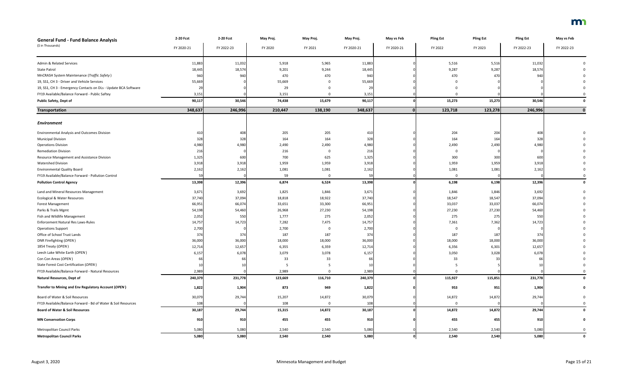| <b>General Fund - Fund Balance Analysis</b>                     | 2-20 Fcst  | 2-20 Fcst  | May Proj. | May Proj. | May Proj.  | May vs Feb | <b>Pling Est</b> | <b>Pling Est</b> | <b>Pling Est</b> | May vs Feb  |
|-----------------------------------------------------------------|------------|------------|-----------|-----------|------------|------------|------------------|------------------|------------------|-------------|
| (\$ in Thousands)                                               | FY 2020-21 | FY 2022-23 | FY 2020   | FY 2021   | FY 2020-21 | FY 2020-21 | FY 2022          | FY 2023          | FY 2022-23       | FY 2022-23  |
|                                                                 |            |            |           |           |            |            |                  |                  |                  |             |
| Admin & Related Services                                        | 11,883     | 11,032     | 5,918     | 5,965     | 11,883     |            | 5,516            | 5,516            | 11,032           |             |
| State Patrol                                                    | 18,445     | 18,574     | 9,201     | 9,244     | 18,445     |            | 9,287            | 9,287            | 18,574           |             |
| MnCRASH System Maintenance (Traffic Safety)                     | 940        | 940        | 470       | 470       | 940        |            | 470              | 470              | 940              |             |
| 19, SS1, CH 3 - Driver and Vehicle Services                     | 55,669     |            | 55,669    |           | 55,669     |            |                  |                  |                  |             |
| 19, SS1, CH 3 - Emergency Contacts on DLs - Update BCA Software | 29         |            | 29        |           |            |            |                  |                  |                  |             |
| FY19 Available/Balance Forward - Public Saftey                  | 3,151      |            | 3,151     |           | 3,151      |            |                  |                  |                  |             |
| <b>Public Safety, Dept of</b>                                   | 90,117     | 30,546     | 74,438    | 15,679    | 90,117     |            | 15,273           | 15,273           | 30,546           |             |
| Transportation                                                  | 348,637    | 246,996    | 210,447   | 138,190   | 348,637    |            | 123,718          | 123,278          | 246,996          |             |
|                                                                 |            |            |           |           |            |            |                  |                  |                  |             |
| <b>Environment</b>                                              |            |            |           |           |            |            |                  |                  |                  |             |
| <b>Environmental Analysis and Outcomes Division</b>             | 410        | 408        | 205       | 205       | 410        |            | 204              | 204              | 408              |             |
| <b>Municipal Division</b>                                       | 328        | 328        | 164       | 164       | 328        |            | 164              | 164              | 328              |             |
| <b>Operations Division</b>                                      | 4,980      | 4,980      | 2,490     | 2,490     | 4,980      |            | 2,490            | 2,490            | 4,980            |             |
| <b>Remediation Division</b>                                     | 216        |            | 216       |           | 216        |            | $\Omega$         |                  |                  |             |
| Resource Management and Assistance Division                     | 1,325      | 600        | 700       | 625       | 1,325      |            | 300              | 300              | 600              |             |
| <b>Watershed Division</b>                                       | 3,918      | 3,918      | 1,959     | 1,959     | 3,918      |            | 1,959            | 1,959            | 3,918            |             |
| <b>Environmental Quality Board</b>                              | 2,162      | 2,162      | 1,081     | 1,081     | 2,162      |            | 1,081            | 1,081            | 2,162            |             |
| FY19 Available/Balance Forward - Pollution Control              |            |            | 59        |           | 59         |            | $\Omega$         |                  |                  |             |
| <b>Pollution Control Agency</b>                                 | 13,398     | 12,396     | 6,874     | 6,524     | 13,398     |            | 6,198            | 6,198            | 12,396           |             |
| Land and Mineral Resources Management                           | 3,671      | 3,692      | 1,825     | 1,846     | 3,671      |            | 1,846            | 1,846            | 3,692            |             |
| Ecological & Water Resources                                    | 37,740     | 37,094     | 18,818    | 18,922    | 37,740     |            | 18,547           | 18,547           | 37,094           |             |
| <b>Forest Management</b>                                        | 66,951     | 66,074     | 33,651    | 33,300    | 66,951     |            | 33,037           | 33,037           | 66,074           |             |
| Parks & Trails Mgmt                                             | 54,198     | 54,460     | 26,968    | 27,230    | 54,198     |            | 27,230           | 27,230           | 54,460           |             |
| Fish and Wildlife Management                                    | 2,052      | 550        | 1,777     | 275       | 2,052      |            | 275              | 275              | 550              |             |
| Enforcement Natural Res Laws-Rules                              | 14,757     | 14,723     | 7,282     | 7,475     | 14,757     |            | 7,361            | 7,362            | 14,723           |             |
| <b>Operations Support</b>                                       | 2,700      |            | 2,700     |           | 2,700      |            | 0                |                  |                  |             |
| Office of School Trust Lands                                    | 374        | 374        | 187       | 187       | 374        |            | 187              | 187              | 374              |             |
| DNR Firefighting (OPEN)                                         | 36,000     | 36,000     | 18,000    | 18,000    | 36,000     |            | 18,000           | 18,000           | 36,000           |             |
| 1854 Treaty (OPEN)                                              | 12,714     | 12,657     | 6,355     | 6,359     | 12,714     |            | 6,356            | 6,301            | 12,657           |             |
| Leech Lake White Earth (OPEN)                                   | 6,157      | 6,078      | 3,079     | 3,078     | 6,157      |            | 3,050            | 3,028            | 6,078            |             |
| Con Con Areas (OPEN)                                            |            |            | 33        | 33        |            |            | 33               | -33              |                  |             |
| State Forest Cost Certification (OPEN)                          |            |            |           |           |            |            |                  |                  |                  |             |
| FY19 Available/Balance Forward - Natural Resources              | 2,989      |            | 2,989     |           | 2,989      |            | $\Omega$         |                  |                  |             |
| <b>Natural Resources, Dept of</b>                               | 240,379    | 231,778    | 123,669   | 116,710   | 240,379    |            | 115,927          | 115,851          | 231,778          | $\mathbf 0$ |
| Transfer to Mining and Env Regulatory Account (OPEN)            | 1,822      | 1,904      | 873       | 949       | 1,822      |            | 953              | 951              | 1,904            |             |
| Board of Water & Soil Resources                                 | 30,079     | 29,744     | 15,207    | 14,872    | 30,079     |            | 14,872           | 14,872           | 29,744           |             |
| FY19 Available/Balance Forward - Bd of Water & Soil Resources   | 108        |            | 108       |           | 108        |            | $\mathbf 0$      |                  |                  |             |
| <b>Board of Water &amp; Soil Resources</b>                      | 30,187     | 29,744     | 15,315    | 14,872    | 30,187     |            | 14,872           | 14,872           | 29,744           |             |
| <b>MN Conservation Corps</b>                                    | 910        | 910        | 455       | 455       | 910        |            | 455              | 455              | 910              |             |
| Metropolitan Council Parks                                      | 5,080      | 5,080      | 2,540     | 2,540     | 5,080      |            | 2,540            | 2,540            | 5,080            |             |
| <b>Metropolitan Council Parks</b>                               | 5,080      | 5,080      | 2,540     | 2,540     | 5,080      |            | 2,540            | 2,540            | 5,080            | $\mathbf 0$ |

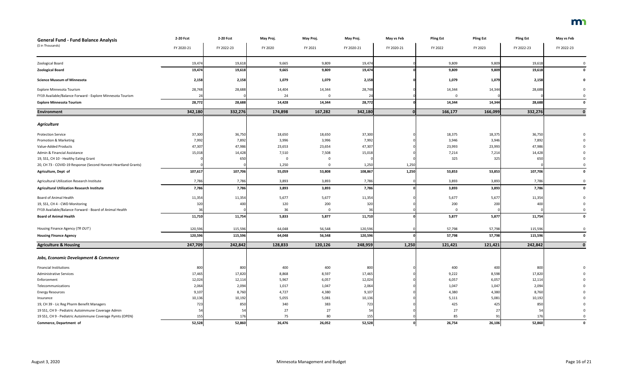| <b>General Fund - Fund Balance Analysis</b>                     | 2-20 Fcst  | 2-20 Fcst  | May Proj. | May Proj. | May Proj.  | May vs Feb | <b>Pling Est</b> | <b>Pling Est</b> | <b>Pling Est</b> | May vs Feb  |
|-----------------------------------------------------------------|------------|------------|-----------|-----------|------------|------------|------------------|------------------|------------------|-------------|
| (\$ in Thousands)                                               | FY 2020-21 | FY 2022-23 | FY 2020   | FY 2021   | FY 2020-21 | FY 2020-21 | FY 2022          | FY 2023          | FY 2022-23       | FY 2022-23  |
|                                                                 |            |            |           |           |            |            |                  |                  |                  |             |
| Zoological Board                                                | 19,474     | 19,618     | 9,665     | 9,809     | 19,474     |            | 9,809            | 9,809            | 19,618           |             |
| <b>Zoological Board</b>                                         | 19,474     | 19,618     | 9,665     | 9,809     | 19,474     |            | 9,809            | 9,809            | 19,618           |             |
| <b>Science Museum of Minnesota</b>                              | 2,158      | 2,158      | 1,079     | 1,079     | 2,158      |            | 1,079            | 1,079            | 2,158            |             |
| Explore Minnesota Tourism                                       | 28,748     | 28,688     | 14,404    | 14,344    | 28,748     |            | 14,344           | 14,344           | 28,688           |             |
| FY19 Available/Balance Forward - Explore Minnesota Tourism      |            |            | 24        |           | 24         |            | $\Omega$         |                  |                  |             |
| <b>Explore Minnesota Tourism</b>                                | 28,772     | 28,688     | 14,428    | 14,344    | 28,772     |            | 14,344           | 14,344           | 28,688           |             |
| <b>Environment</b>                                              | 342,180    | 332,276    | 174,898   | 167,282   | 342,180    |            | 166,177          | 166,099          | 332,276          |             |
| <b>Agriculture</b>                                              |            |            |           |           |            |            |                  |                  |                  |             |
| <b>Protection Service</b>                                       | 37,300     | 36,750     | 18,650    | 18,650    | 37,300     |            | 18,375           | 18,375           | 36,750           |             |
| Promotion & Marketing                                           | 7,992      | 7,892      | 3,996     | 3,996     | 7,992      |            | 3,946            | 3,946            | 7,892            |             |
| Value-Added Products                                            | 47,307     | 47,986     | 23,653    | 23,654    | 47,307     |            | 23,993           | 23,993           | 47,986           |             |
| Admin & Financial Assistance                                    | 15,018     | 14,428     | 7,510     | 7,508     | 15,018     |            | 7,214            | 7,214            | 14,428           |             |
| 19, SS1, CH 10 - Healthy Eating Grant                           |            | 650        | $\Omega$  |           |            |            | 325              | 325              | 650              |             |
| 20, CH 73 - COVID-19 Response (Second Harvest Heartland Grants) |            |            | 1,250     | $\Omega$  | 1,250      | 1,250      |                  |                  |                  |             |
| Agriculture, Dept of                                            | 107,617    | 107,706    | 55,059    | 53,808    | 108,867    | 1,250      | 53,853           | 53,853           | 107,706          |             |
| Agricultural Utilization Research Institute                     | 7,786      | 7,786      | 3,893     | 3,893     | 7,786      |            | 3,893            | 3,893            | 7,786            |             |
| <b>Agricultural Utilization Research Institute</b>              | 7,786      | 7,786      | 3,893     | 3,893     | 7,786      |            | 3,893            | 3,893            | 7,786            | $\Omega$    |
| <b>Board of Animal Health</b>                                   | 11,354     | 11,354     | 5,677     | 5,677     | 11,354     |            | 5,677            | 5,677            | 11,354           |             |
| 19, SS1, CH 4 - CWD Monitoring                                  | 320        | 400        | 120       | 200       | 320        |            | 200              | 200              | 400              |             |
| FY19 Available/Balance Forward - Board of Animal Health         | 36         |            | 36        |           | 36         |            |                  |                  |                  |             |
| <b>Board of Animal Health</b>                                   | 11,710     | 11,754     | 5,833     | 5,877     | 11,710     |            | 5,877            | 5,877            | 11,754           |             |
| Housing Finance Agency (TR OUT)                                 | 120,596    | 115,596    | 64,048    | 56,548    | 120,596    |            | 57,798           | 57,798           | 115,596          |             |
| <b>Housing Finance Agency</b>                                   | 120,596    | 115,596    | 64,048    | 56,548    | 120,596    |            | 57,798           | 57,798           | 115,596          | 0           |
| <b>Agriculture &amp; Housing</b>                                | 247,709    | 242,842    | 128,833   | 120,126   | 248,959    | 1,250      | 121,421          | 121,421          | 242,842          |             |
| <b>Jobs, Economic Development &amp; Commerce</b>                |            |            |           |           |            |            |                  |                  |                  |             |
| <b>Financial Institutions</b>                                   | 800        | 800        | 400       | 400       | 800        |            | 400              | 400              | 800              |             |
| <b>Administrative Services</b>                                  | 17,465     | 17,820     | 8,868     | 8,597     | 17,465     |            | 9,222            | 8,598            | 17,820           |             |
| Enforcement                                                     | 12,024     | 12,114     | 5,967     | 6,057     | 12,024     |            | 6,057            | 6,057            | 12,114           |             |
| Telecommunications                                              | 2,064      | 2,094      | 1,017     | 1,047     | 2,064      |            | 1,047            | 1,047            | 2,094            |             |
| <b>Energy Resources</b>                                         | 9,107      | 8,760      | 4,727     | 4,380     | 9,107      |            | 4,380            | 4,380            | 8,760            |             |
| Insurance                                                       | 10,136     | 10,192     | 5,055     | 5,081     | 10,136     |            | 5,111            | 5,081            | 10,192           |             |
| 19, CH 39 - Lic Reg Pharm Benefit Managers                      | 723        | 850        | 340       | 383       | 723        |            | 425              | 425              | 850              |             |
| 19 SS1, CH 9 - Pediatric Autoimmune Coverage Admin              | 54         | -54        | 27        | 27        | 54         |            | 27               | -27              | 54               |             |
| 19 SS1, CH 9 - Pediatric Autoimmune Coverage Pymts (OPEN)       | 155        | 176        | 75        | 80        | 155        |            | 85               | 91               | 176              |             |
| Commerce, Department of                                         | 52,528     | 52,860     | 26,476    | 26,052    | 52,528     |            | 26,754           | 26,106           | 52,860           | $\mathbf 0$ |

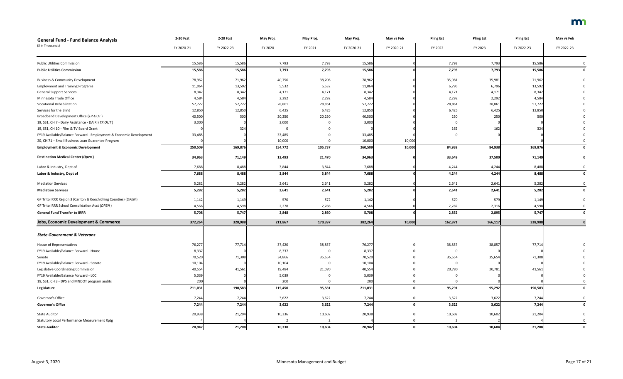| <b>General Fund - Fund Balance Analysis</b>                        | 2-20 Fcst  | 2-20 Fcst  | May Proj.      | May Proj. | May Proj.  | May vs Feb | <b>Pling Est</b> | <b>Pling Est</b> | <b>Pling Est</b> | May vs Feb  |
|--------------------------------------------------------------------|------------|------------|----------------|-----------|------------|------------|------------------|------------------|------------------|-------------|
| (\$ in Thousands)                                                  | FY 2020-21 | FY 2022-23 | FY 2020        | FY 2021   | FY 2020-21 | FY 2020-21 | FY 2022          | FY 2023          | FY 2022-23       | FY 2022-23  |
|                                                                    |            |            |                |           |            |            |                  |                  |                  |             |
| <b>Public Utilities Commission</b>                                 | 15,586     | 15,586     | 7,793          | 7,793     | 15,586     |            | 7,793            | 7,793            | 15,586           |             |
| <b>Public Utilities Commission</b>                                 | 15,586     | 15,586     | 7,793          | 7,793     | 15,586     |            | 7,793            | 7,793            | 15,586           |             |
| <b>Business &amp; Community Development</b>                        | 78,962     | 71,962     | 40,756         | 38,206    | 78,962     |            | 35,981           | 35,981           | 71,962           |             |
| <b>Employment and Training Programs</b>                            | 11,064     | 13,592     | 5,532          | 5,532     | 11,064     |            | 6,796            | 6,796            | 13,592           |             |
| <b>General Support Services</b>                                    | 8,342      | 8,342      | 4,171          | 4,171     | 8,342      |            | 4,171            | 4,171            | 8,342            |             |
| Minnesota Trade Office                                             | 4,584      | 4,584      | 2,292          | 2,292     | 4,584      |            | 2,292            | 2,292            | 4,584            |             |
| <b>Vocational Rehabilitation</b>                                   | 57,722     | 57,722     | 28,861         | 28,861    | 57,722     |            | 28,861           | 28,861           | 57,722           |             |
| Services for the Blind                                             | 12,850     | 12,850     | 6,425          | 6,425     | 12,850     |            | 6,425            | 6,425            | 12,850           |             |
| Broadband Development Office (TR-OUT)                              | 40,500     | 500        | 20,250         | 20,250    | 40,500     |            | 250              | 250              | 500              |             |
| 19, SS1, CH 7 - Dairy Assistance - DAIRI (TR OUT)                  | 3,000      |            | 3,000          |           | 3,000      |            |                  |                  |                  |             |
| 19, SS1, CH 10 - Film & TV Board Grant                             |            | 324        | - 0            |           |            |            | 162              | 162              | 324              |             |
| FY19 Available/Balance Forward - Employment & Economic Development | 33,485     |            | 33,485         |           | 33,485     |            |                  |                  |                  |             |
| 20, CH 71 - Small Business Loan Guarantee Program                  |            |            | 10,000         |           | 10,000     | 10,000     |                  |                  |                  |             |
| <b>Employment &amp; Economic Development</b>                       | 250,509    | 169,876    | 154,772        | 105,737   | 260,509    | 10,000     | 84,938           | 84,938           | 169,876          |             |
| <b>Destination Medical Center (Open)</b>                           | 34,963     | 71,149     | 13,493         | 21,470    | 34,963     |            | 33,649           | 37,500           | 71,149           |             |
| Labor & Industry, Dept of                                          | 7,688      | 8,488      | 3,844          | 3,844     | 7,688      |            | 4,244            | 4,244            | 8,488            |             |
| Labor & Industry, Dept of                                          | 7,688      | 8,488      | 3,844          | 3,844     | 7,688      |            | 4,244            | 4,244            | 8,488            | 0           |
| <b>Mediation Services</b>                                          | 5,282      | 5,282      | 2,641          | 2,641     | 5,282      |            | 2,641            | 2,641            | 5,282            |             |
| <b>Mediation Services</b>                                          | 5,282      | 5,282      | 2,641          | 2,641     | 5,282      |            | 2,641            | 2,641            | 5,282            | 0           |
| GF Tr to IRRR Region 3 (Carlton & Koochiching Counties) (OPEN)     | 1,142      | 1,149      | 570            | 572       | 1,142      |            | 570              | 579              | 1,149            |             |
| GF Tr to IRRR School Consolidation Acct (OPEN)                     | 4,566      | 4,598      | 2,278          | 2,288     | 4,566      |            | 2,282            | 2,316            | 4,598            |             |
| <b>General Fund Transfer to IRRR</b>                               | 5,708      | 5,747      | 2,848          | 2,860     | 5,708      |            | 2,852            | 2,895            | 5,747            |             |
| <b>Jobs, Economic Development &amp; Commerce</b>                   | 372,264    | 328,988    | 211,867        | 170,397   | 382,264    | 10,000     | 162,871          | 166,117          | 328,988          |             |
|                                                                    |            |            |                |           |            |            |                  |                  |                  |             |
| <b>State Government &amp; Veterans</b>                             |            |            |                |           |            |            |                  |                  |                  |             |
| House of Representatives                                           | 76,277     | 77,714     | 37,420         | 38,857    | 76,277     |            | 38,857           | 38,857           | 77,714           |             |
| FY19 Available/Balance Forward - House                             | 8,337      |            | 8,337          | $\Omega$  | 8,337      |            | 0                |                  |                  |             |
| Senate                                                             | 70,520     | 71,308     | 34,866         | 35,654    | 70,520     |            | 35,654           | 35,654           | 71,308           |             |
| FY19 Available/Balance Forward - Senate                            | 10,104     |            | 10,104         |           | 10,104     |            | - 0              |                  |                  |             |
| Legislative Coordinating Commission                                | 40,554     | 41,561     | 19,484         | 21,070    | 40,554     |            | 20,780           | 20,781           | 41,561           |             |
| FY19 Available/Balance Forward - LCC                               | 5,039      |            | 5,039          |           | 5,039      |            | $\Omega$         |                  |                  |             |
| 19, SS1, CH 3 - DPS and MNDOT program audits                       | 200        |            | 200            | $\Omega$  | 200        |            | $\Omega$         |                  |                  |             |
| Legislature                                                        | 211,031    | 190,583    | 115,450        | 95,581    | 211,031    |            | 95,291           | 95,292           | 190,583          | $\mathbf 0$ |
| Governor's Office                                                  | 7,244      | 7,244      | 3,622          | 3,622     | 7,244      |            | 3,622            | 3,622            | 7,244            | $\Omega$    |
| <b>Governor's Office</b>                                           | 7,244      | 7,244      | 3,622          | 3,622     | 7,244      |            | 3,622            | 3,622            | 7,244            | $\mathbf 0$ |
| <b>State Auditor</b>                                               | 20,938     | 21,204     | 10,336         | 10,602    | 20,938     |            | 10,602           | 10,602           | 21,204           |             |
| <b>Statutory Local Performance Measurement Rptg</b>                |            |            | $\overline{2}$ |           |            |            |                  |                  |                  |             |
| <b>State Auditor</b>                                               | 20,942     | 21,208     | 10,338         | 10,604    | 20,942     |            | 10,604           | 10,604           | 21,208           | $\Omega$    |

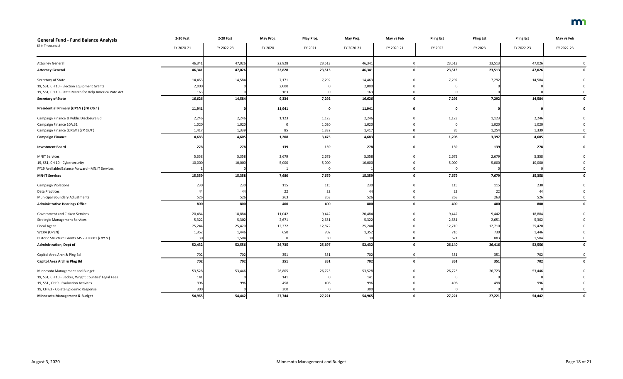| <b>General Fund - Fund Balance Analysis</b>            | 2-20 Fcst  | 2-20 Fcst  | May Proj. | May Proj.    | May Proj.  | May vs Feb | <b>Pling Est</b> | <b>Pling Est</b> | <b>Pling Est</b> | May vs Feb   |
|--------------------------------------------------------|------------|------------|-----------|--------------|------------|------------|------------------|------------------|------------------|--------------|
| (\$ in Thousands)                                      | FY 2020-21 | FY 2022-23 | FY 2020   | FY 2021      | FY 2020-21 | FY 2020-21 | FY 2022          | FY 2023          | FY 2022-23       | FY 2022-23   |
| <b>Attorney General</b>                                | 46,34      | 47,026     | 22,828    | 23,513       | 46,341     |            | 23,513           | 23,513           | 47,026           |              |
| <b>Attorney General</b>                                | 46,341     | 47,026     | 22,828    | 23,513       | 46,341     |            | 23,513           | 23,513           | 47,026           | $\mathbf{0}$ |
| Secretary of State                                     | 14,463     | 14,584     | 7,171     | 7,292        | 14,463     |            | 7,292            | 7,292            | 14,584           |              |
| 19, SS1, CH 10 - Election Equipment Grants             | 2,000      |            | 2,000     |              | 2,000      |            |                  |                  |                  |              |
| 19, SS1, CH 10 - State Match for Help America Vote Act | 163        |            | 163       |              | 163        |            |                  |                  |                  |              |
| <b>Secretary of State</b>                              | 16,626     | 14,584     | 9,334     | 7,292        | 16,626     |            | 7,292            | 7,292            | 14,584           |              |
| Presidential Primary (OPEN) (TR OUT)                   | 11,941     |            | 11,941    | <sup>0</sup> | 11,941     |            | - 0              |                  |                  |              |
| Campaign Finance & Public Disclosure Bd                | 2,246      | 2,246      | 1,123     | 1,123        | 2,246      |            | 1,123            | 1,123            | 2,246            |              |
| Campaign Finance 10A.31                                | 1,020      | 1,020      |           | 1,020        | 1,020      |            |                  | 1,020            | 1,020            |              |
| Campaign Finance (OPEN) (TR OUT)                       | 1,417      | 1,339      | 85        | 1,332        | 1,417      |            | 85               | 1,254            | 1,339            |              |
| <b>Campaign Finance</b>                                | 4,683      | 4,605      | 1,208     | 3,475        | 4,683      |            | 1,208            | 3,397            | 4,605            |              |
| <b>Investment Board</b>                                | 278        | 278        | 139       | 139          | 278        |            | 139              | 139              | 278              |              |
| <b>MNIT Services</b>                                   | 5,358      | 5,358      | 2,679     | 2,679        | 5,358      |            | 2,679            | 2,679            | 5,358            |              |
| 19, SS1, CH 10 - Cybersecurity                         | 10,000     | 10,000     | 5,000     | 5,000        | 10,000     |            | 5,000            | 5,000            | 10,000           |              |
| FY19 Available/Balance Forward - MN.IT Services        |            |            |           | $\Omega$     |            |            | $\Omega$         |                  |                  |              |
| <b>MN-IT Services</b>                                  | 15,359     | 15,358     | 7,680     | 7,679        | 15,359     |            | 7,679            | 7,679            | 15,358           |              |
| <b>Campaign Violations</b>                             | 230        | 230        | 115       | 115          | 230        |            | 115              | 115              | 230              |              |
| Data Practices                                         | 44         | 44         | 22        | 22           | 44         |            | 22               | -22              | 44               |              |
| Municipal Boundary Adjustments                         | 526        | 526        | 263       | 263          | 526        |            | 263              | 263              | 526              |              |
| <b>Administrative Hearings Office</b>                  | 800        | 800        | 400       | 400          | 800        |            | 400              | 400              | 800              |              |
| <b>Government and Citizen Services</b>                 | 20,484     | 18,884     | 11,042    | 9,442        | 20,484     |            | 9,442            | 9,442            | 18,884           |              |
| <b>Strategic Management Services</b>                   | 5,322      | 5,302      | 2,671     | 2,651        | 5,322      |            | 2,651            | 2,651            | 5,302            |              |
| <b>Fiscal Agent</b>                                    | 25,244     | 25,420     | 12,372    | 12,872       | 25,244     |            | 12,710           | 12,710           | 25,420           |              |
| WCRA (OPEN)                                            | 1,352      | 1,446      | 650       | 702          | 1,352      |            | 716              | 730              | 1,446            |              |
| Historic Structure Grants MS 290.0681 (OPEN)           | 30         | 1,504      | $\Omega$  | 30           | 30         |            | 621              | 883              | 1,504            |              |
| <b>Administration, Dept of</b>                         | 52,432     | 52,556     | 26,735    | 25,697       | 52,432     |            | 26,140           | 26,416           | 52,556           | $\mathbf{0}$ |
| Capitol Area Arch & Plng Bd                            | 702        | 702        | 351       | 351          | 702        |            | 351              | 351              | 702              | $\Omega$     |
| <b>Capitol Area Arch &amp; Ping Bd</b>                 | 702        | 702        | 351       | 351          | 702        |            | 351              | 351              | 702              | $\mathbf 0$  |
| Minnesota Management and Budget                        | 53,528     | 53,446     | 26,805    | 26,723       | 53,528     |            | 26,723           | 26,723           | 53,446           |              |
| 19, SS1, CH 10 - Becker, Wright Counties' Legal Fees   | 141        |            | 141       |              | 141        |            | 0                |                  |                  |              |
| 19, SS1, CH 9 - Evaluation Activites                   | 996        | 996        | 498       | 498          | 996        |            | 498              | 498              | 996              |              |
| 19, CH 63 - Opiate Epidemic Response                   | 300        |            | 300       |              | 300        |            | $\Omega$         |                  |                  |              |
| Minnesota Management & Budget                          | 54,965     | 54,442     | 27,744    | 27,221       | 54,965     |            | 27,221           | 27,221           | 54,442           | $\Omega$     |

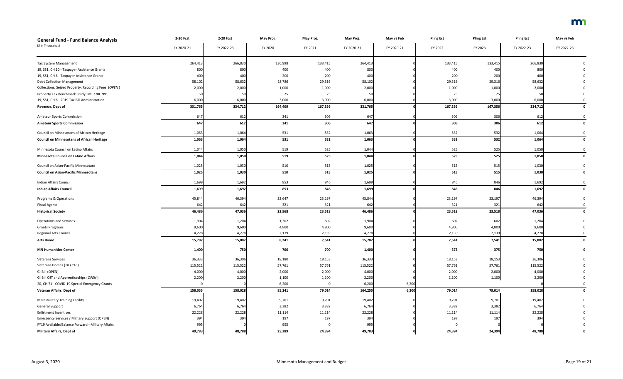| <b>General Fund - Fund Balance Analysis</b>         | 2-20 Fcst  | 2-20 Fcst  | May Proj. | May Proj. | May Proj.  | May vs Feb | <b>Pling Est</b> | <b>Pling Est</b> | <b>Pling Est</b> | May vs Feb   |
|-----------------------------------------------------|------------|------------|-----------|-----------|------------|------------|------------------|------------------|------------------|--------------|
| (\$ in Thousands)                                   | FY 2020-21 | FY 2022-23 | FY 2020   | FY 2021   | FY 2020-21 | FY 2020-21 | FY 2022          | FY 2023          | FY 2022-23       | FY 2022-23   |
|                                                     |            |            |           |           |            |            |                  |                  |                  |              |
| Tax System Management                               | 264,413    | 266,830    | 130,998   | 133,415   | 264,413    |            | 133,415          | 133,415          | 266,830          |              |
| 19, SS1, CH 10 - Taxpayer Assistance Grants         | 800        | 800        | 400       | 400       | 800        |            | 400              | 400              | 800              |              |
| 19, SS1, CH 6 - Taxpayer Assistance Grants          | 400        | 400        | 200       | 200       | 400        |            | 200              | 200              | 400              |              |
| <b>Debt Collection Management</b>                   | 58,102     | 58,632     | 28,786    | 29,316    | 58,102     |            | 29,316           | 29,316           | 58,632           |              |
| Collections, Seized Property, Recording Fees (OPEN) | 2,000      | 2,000      | 1,000     | 1,000     | 2,000      |            | 1,000            | 1,000            | 2,000            |              |
| Property Tax Benchmark Study MS 270C.991            | 50         |            | 25        | 25        |            |            | 25               | 25               |                  |              |
| 19, SS1, CH 6 - 2019 Tax Bill Administration        | 6,000      | 6,000      | 3,000     | 3,000     | 6,000      |            | 3,000            | 3,000            | 6,000            |              |
| Revenue, Dept of                                    | 331,765    | 334,712    | 164,409   | 167,356   | 331,765    |            | 167,356          | 167,356          | 334,712          |              |
| <b>Amateur Sports Commission</b>                    | 647        | 612        | 341       | 306       | 647        |            | 306              | 306              | 612              |              |
| <b>Amateur Sports Commission</b>                    | 647        | 612        | 341       | 306       | 647        |            | 306              | 306              | 612              |              |
| Council on Minnesotans of African Heritage          | 1,063      | 1,064      | 531       | 532       | 1,063      |            | 532              | 532              | 1,064            |              |
| <b>Council on Minnesotans of African Heritage</b>   | 1,063      | 1,064      | 531       | 532       | 1,063      |            | 532              | 532              | 1,064            |              |
| Minnesota Council on Latino Affairs                 | 1,044      | 1,050      | 519       | 525       | 1,044      |            | 525              | 525              | 1,050            |              |
| <b>Minnesota Council on Latino Affairs</b>          | 1,044      | 1,050      | 519       | 525       | 1,044      |            | 525              | 525              | 1,050            |              |
| Council on Asian-Pacific Minnesotans                | 1,025      | 1,030      | 510       | 515       | 1,025      |            | 515              | 515              | 1,030            |              |
| <b>Council on Asian-Pacific Minnesotans</b>         | 1,025      | 1,030      | 510       | 515       | 1,025      |            | 515              | 515              | 1,030            | $\mathbf{0}$ |
| Indian Affairs Council                              | 1,699      | 1,692      | 853       | 846       | 1,699      |            | 846              | 846              | 1,692            |              |
| <b>Indian Affairs Council</b>                       | 1,699      | 1,692      | 853       | 846       | 1,699      |            | 846              | 846              | 1,692            |              |
| Programs & Operations                               | 45,844     | 46,394     | 22,647    | 23,197    | 45,844     |            | 23,197           | 23,197           | 46,394           |              |
| <b>Fiscal Agents</b>                                | 642        | 642        | 321       | 321       | 642        |            | 321              | 321              | 642              |              |
| <b>Historical Society</b>                           | 46,486     | 47,036     | 22,968    | 23,518    | 46,486     |            | 23,518           | 23,518           | 47,036           |              |
| <b>Operations and Services</b>                      | 1,904      | 1,204      | 1,302     | 602       | 1,904      |            | 602              | 602              | 1,204            |              |
| <b>Grants Programs</b>                              | 9,600      | 9,600      | 4,800     | 4,800     | 9,600      |            | 4,800            | 4,800            | 9,600            |              |
| <b>Regional Arts Council</b>                        | 4,278      | 4,278      | 2,139     | 2,139     | 4,278      |            | 2,139            | 2,139            | 4,278            |              |
| <b>Arts Board</b>                                   | 15,782     | 15,082     | 8,241     | 7,541     | 15,782     |            | 7,541            | 7,541            | 15,082           |              |
| <b>MN Humanities Center</b>                         | 1,400      | 750        | 700       | 700       | 1,400      |            | 375              | 375              | 750              |              |
| <b>Veterans Services</b>                            | 36,333     | 36,306     | 18,180    | 18,153    | 36,333     |            | 18,153           | 18,153           | 36,306           |              |
| Veterans Homes (TR OUT)                             | 115,522    | 115,522    | 57,761    | 57,761    | 115,522    |            | 57,761           | 57,761           | 115,522          |              |
| GI Bill (OPEN)                                      | 4,000      | 4,000      | 2,000     | 2,000     | 4,000      |            | 2,000            | 2,000            | 4,000            |              |
| GI Bill OJT and Apprenticeships (OPEN)              | 2,200      | 2,200      | 1,100     | 1,100     | 2,200      |            | 1,100            | 1,100            | 2,200            |              |
| 20, CH 71 - COVID-19 Special Emergency Grants       | $\Omega$   |            | 6,200     | $\Omega$  | 6,200      | 6,200      |                  |                  |                  |              |
| Veteran Affairs, Dept of                            | 158,055    | 158,028    | 85,241    | 79,014    | 164,255    | 6,200      | 79,014           | 79,014           | 158,028          | 0            |
| Main-Military Training Facility                     | 19,402     | 19,402     | 9,701     | 9,701     | 19,402     |            | 9,701            | 9,701            | 19,402           |              |
| <b>General Support</b>                              | 6,764      | 6,764      | 3,382     | 3,382     | 6,764      |            | 3,382            | 3,382            | 6,764            |              |
| <b>Enlistment Incentives</b>                        | 22,228     | 22,228     | 11,114    | 11,114    | 22,228     |            | 11,114           | 11,114           | 22,228           |              |
| Emergency Services / Military Support (OPEN)        | 394        | 394        | 197       | 197       | 394        |            | 197              | 197              | 394              |              |
| FY19 Available/Balance Forward - Military Affairs   | 995        |            | 995       |           | 995        |            | $\Omega$         |                  |                  |              |
| <b>Military Affairs, Dept of</b>                    | 49,783     | 48,788     | 25,389    | 24,394    | 49,783     |            | 24,394           | 24,394           | 48,788           | $\mathbf 0$  |

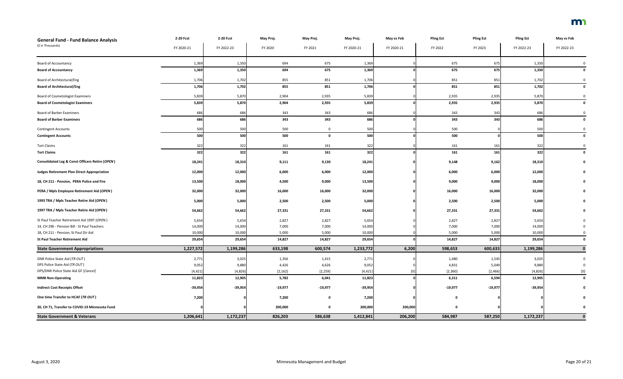| <b>General Fund - Fund Balance Analysis</b>                | 2-20 Fcst  | 2-20 Fcst  | May Proj. | May Proj.   | May Proj.  | May vs Feb | <b>Pling Est</b> | <b>Pling Est</b> | <b>Pling Est</b> | May vs Feb  |
|------------------------------------------------------------|------------|------------|-----------|-------------|------------|------------|------------------|------------------|------------------|-------------|
| (\$ in Thousands)                                          | FY 2020-21 | FY 2022-23 | FY 2020   | FY 2021     | FY 2020-21 | FY 2020-21 | FY 2022          | FY 2023          | FY 2022-23       | FY 2022-23  |
| <b>Board of Accountancy</b>                                | 1,369      | 1,350      | 694       | 675         | 1,369      |            | 675              | 675              | 1,350            |             |
| <b>Board of Accountancy</b>                                | 1,369      | 1,350      | 694       | 675         | 1,369      |            | 675              | 675              | 1,350            | 0           |
| <b>Board of Architectural/Eng</b>                          | 1,706      | 1,702      | 855       | 851         | 1,706      |            | 851              | 851              | 1,702            |             |
| <b>Board of Architectural/Eng</b>                          | 1,706      | 1,702      | 855       | 851         | 1,706      |            | 851              | 851              | 1,702            |             |
| <b>Board of Cosmetologist Examiners</b>                    | 5,839      | 5,870      | 2,904     | 2,935       | 5,839      |            | 2,935            | 2,935            | 5,870            |             |
| <b>Board of Cosmetologist Examiners</b>                    | 5,839      | 5,870      | 2,904     | 2,935       | 5,839      |            | 2,935            | 2,935            | 5,870            | 0           |
| <b>Board of Barber Examiners</b>                           | 686        | 686        | 343       | 343         | 686        |            | 343              | 343              | 686              |             |
| <b>Board of Barber Examiners</b>                           | 686        | 686        | 343       | 343         | 686        |            | 343              | 343              | 686              | 0           |
| <b>Contingent Accounts</b>                                 | 500        | 500        | 500       | 0           | 500        |            | 500              |                  | 500              | 0           |
| <b>Contingent Accounts</b>                                 | 500        | 500        | 500       | $\mathbf 0$ | 500        |            | 500              |                  | 500              | 0           |
| <b>Tort Claims</b>                                         | 322        | 322        | 161       | 161         | 322        |            | 161              | 161              | 322              |             |
| <b>Tort Claims</b>                                         | 322        | 322        | 161       | 161         | 322        |            | 161              | 161              | 322              | 0           |
| <b>Consolidated Leg &amp; Const Officers Retire (OPEN)</b> | 18,241     | 18,310     | 9,111     | 9,130       | 18,241     |            | 9,148            | 9,162            | 18,310           |             |
| <b>Judges Retirement Plan Direct Appropriation</b>         | 12,000     | 12,000     | 6,000     | 6,000       | 12,000     |            | 6,000            | 6,000            | 12,000           |             |
| 18, CH 211 - Pension, PERA Police and Fire                 | 13,500     | 18,000     | 4,500     | 9,000       | 13,500     |            | 9,000            | 9,000            | 18,000           |             |
| PERA / Mpls Employee Retirement Aid (OPEN)                 | 32,000     | 32,000     | 16,000    | 16,000      | 32,000     |            | 16,000           | 16,000           | 32,000           |             |
| 1993 TRA / Mpls Teacher Retire Aid (OPEN)                  | 5,000      | 5,000      | 2,500     | 2,500       | 5,000      |            | 2,500            | 2,500            | 5,000            |             |
| 1997 TRA / Mpls Teacher Retire Aid (OPEN)                  | 54,662     | 54,662     | 27,331    | 27,331      | 54,662     |            | 27,331           | 27,331           | 54,662           |             |
| St Paul Teacher Retirement Aid 1997 (OPEN)                 | 5,654      | 5,654      | 2,827     | 2,827       | 5,654      |            | 2,827            | 2,827            | 5,654            |             |
| 14, CH 296 - Pension Bill - St Paul Teachers               | 14,000     | 14,000     | 7,000     | 7,000       | 14,000     |            | 7,000            | 7,000            | 14,000           |             |
| 18, CH 211 - Pension, St Paul Dir Aid                      | 10,000     | 10,000     | 5,000     | 5,000       | 10,000     |            | 5,000            | 5,000            | 10,000           |             |
| <b>St Paul Teacher Retirement Aid</b>                      | 29,654     | 29,654     | 14,827    | 14,827      | 29,654     |            | 14,827           | 14,827           | 29,654           | 0           |
| <b>State Government Appropriations</b>                     | 1,227,572  | 1,199,286  | 633,198   | 600,574     | 1,233,772  | 6,200      | 598,653          | 600,633          | 1,199,286        | $\mathbf 0$ |
| DNR Police State Aid (TR OUT)                              | 2,771      | 3,025      | 1,356     | 1,415       | 2,771      |            | 1,480            | 1,545            | 3,025            |             |
| DPS Police State Aid (TR OUT)                              | 9,052      | 9,880      | 4,426     | 4,626       | 9,052      |            | 4,831            | 5,049            | 9,880            |             |
| DPS/DNR Police State Aid GF [Cancel]                       | [4, 421]   | [4,826]    | [2, 162]  | [2, 259]    | [4, 421]   |            | [2,360]          | [2,466]          | [4,826]          | [0]         |
| <b>MMB Non-Operating</b>                                   | 11,823     | 12,905     | 5,782     | 6,041       | 11,823     |            | 6,311            | 6,594            | 12,905           | 0           |
| <b>Indirect Cost Receipts Offset</b>                       | $-39,954$  | $-39,954$  | $-19,977$ | $-19,977$   | $-39,954$  |            | $-19,977$        | $-19,977$        | $-39,954$        |             |
| One time Transfer to HCAF (TR OUT)                         | 7,200      |            | 7,200     | 0           | 7,200      |            | 0                |                  |                  |             |
| 20, CH 71, Transfer to COVID-19 Minnesota Fund             |            |            | 200,000   | 0           | 200,000    | 200,000    | $\mathbf 0$      |                  |                  |             |
| <b>State Government &amp; Veterans</b>                     | 1,206,641  | 1,172,237  | 826,203   | 586,638     | 1,412,841  | 206,200    | 584,987          | 587,250          | 1,172,237        | $\mathbf 0$ |